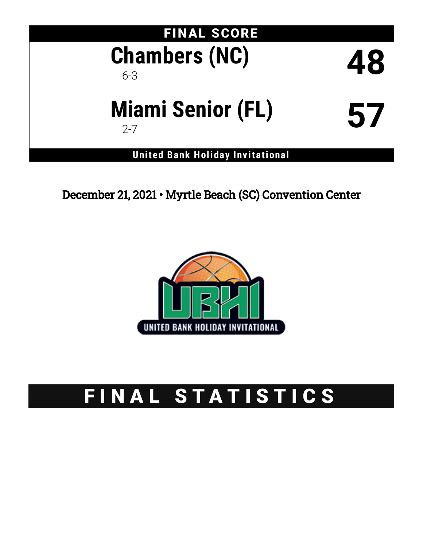| <b>FINAL SCORE</b><br><b>Chambers (NC)</b><br>$6 - 3$ | 48 |
|-------------------------------------------------------|----|
| <b>Miami Senior (FL)</b><br>$2 - 7$                   | 57 |
| <b>United Bank Holiday Invitational</b>               |    |

December 21, 2021 • Myrtle Beach (SC) Convention Center



# FINAL STATISTICS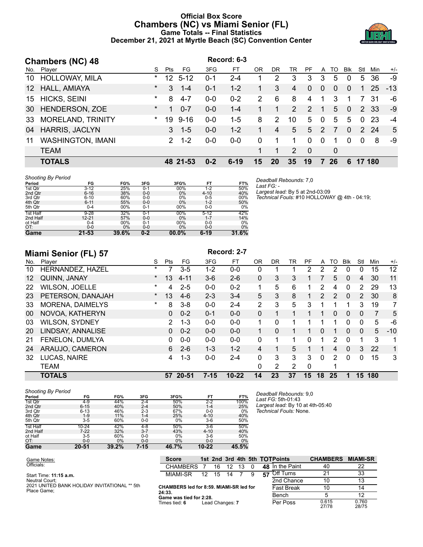## **Official Box Score Chambers (NC) vs Miami Senior (FL) Game Totals -- Final Statistics December 21, 2021 at Myrtle Beach (SC) Convention Center**



|                 | <b>Chambers (NC) 48</b>  |          |                 |          |         | Record: 6-3 |               |     |               |               |               |              |              |                |        |       |
|-----------------|--------------------------|----------|-----------------|----------|---------|-------------|---------------|-----|---------------|---------------|---------------|--------------|--------------|----------------|--------|-------|
| No.             | Player                   | S.       | Pts             | FG       | 3FG     | FT          | 0R            | DR. | TR            | PF            | A             | TO           | <b>B</b> lk  | Stl            | Min    | $+/-$ |
| 10              | <b>HOLLOWAY, MILA</b>    | $\ast$   | 12 <sup>°</sup> | $5 - 12$ | $0 - 1$ | $2 - 4$     |               | 2   | 3             | 3             | 3             | 5            | 0            | 5              | 36     | -9    |
| 12 <sup>°</sup> | HALL, AMIAYA             | $\star$  | 3               | $1 - 4$  | $0 - 1$ | $1 - 2$     |               | 3   | 4             | $\Omega$      | $\Omega$      | $\Omega$     | $\Omega$     |                | 25     | $-13$ |
| 15              | <b>HICKS, SEINI</b>      | $\star$  | 8               | $4 - 7$  | $0 - 0$ | $0 - 2$     | $\mathcal{P}$ | 6   | 8             | 4             | 1             | 3            |              |                | -31    | -6    |
| 30              | HENDERSON, ZOE           | $^\star$ | 1               | $0 - 7$  | $0 - 0$ | $1 - 4$     |               |     | $\mathcal{P}$ | $\mathcal{P}$ | -1            | 5            | $\mathbf{0}$ | $\overline{2}$ | -33    | -9    |
| 33              | <b>MORELAND, TRINITY</b> | $\star$  | 19              | $9 - 16$ | $0 - 0$ | $1-5$       | 8             | 2   | 10            | 5             | $\mathbf{0}$  | 5            | 5            | $\Omega$       | 23     | -4    |
| 04              | HARRIS, JACLYN           |          | 3               | $1 - 5$  | $0 - 0$ | $1 - 2$     |               | 4   | 5             | 5             | $\mathcal{P}$ |              | $\Omega$     |                | 2 24   | 5     |
| 11              | <b>WASHINGTON, IMANI</b> |          | $\mathcal{P}$   | $1 - 2$  | $0 - 0$ | $0 - 0$     | $\Omega$      |     |               | $\Omega$      | $\Omega$      | 1            | 0            | $\Omega$       | 8      | -9    |
|                 | <b>TEAM</b>              |          |                 |          |         |             |               |     | $\mathcal{P}$ | $\Omega$      |               | $\mathbf{0}$ |              |                |        |       |
|                 | <b>TOTALS</b>            |          |                 | 48 21-53 | $0 - 2$ | $6 - 19$    | 15            | 20  | 35            | 19            |               | 26           | 6            |                | 17 180 |       |

#### *Shooting By Period*

| Period   | FG        | FG%   | 3FG     | 3FG%  | FT       | FT%   |
|----------|-----------|-------|---------|-------|----------|-------|
| 1st Qtr  | $3 - 12$  | 25%   | $0 - 1$ | 00%   | $1 - 2$  | 50%   |
| 2nd Qtr  | $6 - 16$  | 38%   | $0 - 0$ | 0%    | $4 - 10$ | 40%   |
| 3rd Qtr  | $6 - 10$  | 60%   | $0-0$   | 0%    | $0 - 5$  | 00%   |
| 4th Qtr  | $6 - 11$  | 55%   | $0 - 0$ | 0%    | $1 - 2$  | 50%   |
| 5th Qtr  | $0 - 4$   | 00%   | $0 - 1$ | 00%   | $0-0$    | 0%    |
| 1st Half | $9 - 28$  | 32%   | $0 - 1$ | 00%   | $5 - 12$ | 42%   |
| 2nd Half | 12-21     | 57%   | $0 - 0$ | 0%    | $1 - 7$  | 14%   |
| ot Half  | $0 - 4$   | 00%   | 0-1     | 00%   | $0-0$    | 0%    |
| OT:      | $0 - 0$   | $0\%$ | $0 - 0$ | 0%    | $0-0$    | 0%    |
| Game     | $21 - 53$ | 39.6% | $0 - 2$ | 00.0% | $6 - 19$ | 31.6% |

*Deadball Rebounds:* 7,0 *Last FG:* -

*Largest lead:* By 5 at 2nd-03:09 *Technical Fouls:* #10 HOLLOWAY @ 4th - 04:19;

|                   | <b>TOTALS</b>           |         | 57           | $20 - 51$ | $7 - 15$ | $10 - 22$ | 14       | 23 | 37 | 15 | 18             | 25       |             | 15           | 180            |       |
|-------------------|-------------------------|---------|--------------|-----------|----------|-----------|----------|----|----|----|----------------|----------|-------------|--------------|----------------|-------|
|                   | TEAM                    |         |              |           |          |           | 0        | 2  | 2  | 0  |                | 1        |             |              |                |       |
| 32                | LUCAS, NAIRE            |         | 4            | $1 - 3$   | $0-0$    | $2 - 4$   | 0        | 3  | 3  | 3  | $\Omega$       | 2        | $\Omega$    | 0            | 15             | 3     |
| 24                | ARAUJO, CAMERON         |         | 6            | $2-6$     | $1 - 3$  | $1 - 2$   | 4        | 1  | 5  |    |                | 4        | $\Omega$    | 3            | 22             | 1     |
| 21                | FENELON, DUMLYA         |         | 0            | $0 - 0$   | $0 - 0$  | $0 - 0$   | 0        | 1  |    | 0  |                | 2        | $\Omega$    | 1            | 3              | 1     |
| 20                | LINDSAY, ANNALISE       |         | 0            | $0 - 2$   | $0 - 0$  | $0 - 0$   |          | 0  |    |    | 0              |          | 0           | $\mathbf{0}$ | 5              | $-10$ |
| 03                | <b>WILSON, SYDNEY</b>   |         | 2            | $1 - 3$   | $0 - 0$  | $0 - 0$   |          | 0  |    |    |                |          | 0           | 0            | 5              | -6    |
| 00                | NOVOA, KATHERYN         |         | $\mathbf{0}$ | $0 - 2$   | $0 - 1$  | $0 - 0$   | $\Omega$ | 1  |    |    |                | $\Omega$ | $\Omega$    | $\Omega$     | $\overline{7}$ | 5     |
| 33                | <b>MORENA, DAIMELYS</b> | $\ast$  | 8            | $3 - 8$   | $0 - 0$  | $2 - 4$   | 2        | 3  | 5  | 3  |                |          |             | 3            | 19             | 7     |
| 23                | PETERSON, DANAJAH       | $\star$ | 13           | $4-6$     | $2 - 3$  | $3 - 4$   | 5.       | 3  | 8  |    | $\overline{2}$ | 2        | 0           | 2            | 30             | 8     |
| 22                | <b>WILSON, JOELLE</b>   | *       | 4            | $2 - 5$   | $0 - 0$  | $0 - 2$   |          | 5  | 6  |    | 2              | 4        | 0           | 2            | 29             | 13    |
| $12 \overline{ }$ | QUINN, JANAY            | $\ast$  | 13           | $4 - 11$  | $3-6$    | $2 - 6$   | 0        | 3  | 3  |    |                | 5        | $\Omega$    | 4            | 30             | 11    |
| 10                | HERNANDEZ, HAZEL        | *       |              | $3 - 5$   | $1 - 2$  | $0-0$     | 0        |    |    | 2  | 2              | 2        | 0           | 0            | 15             | 12    |
| No.               | Player                  | S       | Pts          | FG        | 3FG      | FT        | 0R       | DR | TR | PF | A              | TO       | <b>B</b> lk | Stl          | Min            | $+/-$ |

#### *Shooting By Period* **Period FG FG% 3FG 3FG% FT FT%** 1st Qtr 4-9 44% 2-4 50% 2-2 100% 2nd Qtr 6-15 40% 2-4 50% 1-4 25% 3rd Qtr 6-13 46% 2-3 67% 0-0 0% 4th Qtr 1-9 11% 1-4 25% 4-10 40% 5th Qtr 3-5 60% 0-0 0% 3-6 50% 1st Half 10-24 42% 4-8 50% 3-6 50% 2nd Half 7-22 32% 3-7 43% 4-10 40% ot Half 3-5 60% 0-0 0% 3-6 50% OT: 0-0 0% 0-0 0% 0-0 0% **Game 20-51 39.2% 7-15 46.7% 10-22 45.5%**

*Deadball Rebounds:* 9,0 *Last FG:* 5th-01:43 *Largest lead:* By 10 at 4th-05:40 *Technical Fouls:* None.

| Game Notes:                                                 | <b>Score</b>                                   |    |                 |    |    |    | 1st 2nd 3rd 4th 5th TOTPoints | <b>CHAMBERS</b> | <b>MIAMI-SR</b> |
|-------------------------------------------------------------|------------------------------------------------|----|-----------------|----|----|----|-------------------------------|-----------------|-----------------|
| Officials:                                                  | <b>CHAMBERS</b>                                |    | 16              | 12 | 13 | 48 | In the Paint                  | 40              | 22              |
| Start Time: 11:15 a.m.                                      | <b>MIAMI-SR</b>                                | 12 | 15              | 14 |    | 57 | <b>Off Turns</b>              | 21              | 33              |
| Neutral Court:                                              |                                                |    |                 |    |    |    | 2nd Chance                    | 10              | 13              |
| 2021 UNITED BANK HOLIDAY INVITATIONAL ** 5th<br>Place Game: | <b>CHAMBERS led for 8:59. MIAMI-SR led for</b> |    |                 |    |    |    | <b>Fast Break</b>             |                 | 14              |
|                                                             | 24:33.<br>Game was tied for 2:28.              |    |                 |    |    |    | Bench                         |                 | 12              |
|                                                             | Times tied: <b>6</b>                           |    | Lead Changes: 7 |    |    |    | Per Poss                      | 0.615<br>27/78  | 0.760<br>28/75  |

#### **Miami Senior (FL) 57 Record: 2-7**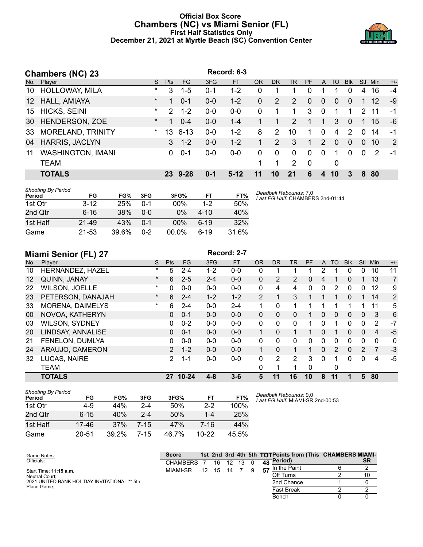#### **Official Box Score Chambers (NC) vs Miami Senior (FL) First Half Statistics Only December 21, 2021 at Myrtle Beach (SC) Convention Center**



|                 | <b>Chambers (NC) 23</b>  |         |               |           |         | Record: 6-3 |          |           |               |           |                |          |            |            |            |       |
|-----------------|--------------------------|---------|---------------|-----------|---------|-------------|----------|-----------|---------------|-----------|----------------|----------|------------|------------|------------|-------|
| No.             | Player                   | S.      | <b>Pts</b>    | <b>FG</b> | 3FG     | <b>FT</b>   | OR       | <b>DR</b> | <b>TR</b>     | <b>PF</b> | A              | TO       | <b>Blk</b> | <b>Stl</b> | <b>Min</b> | $+/-$ |
| 10              | <b>HOLLOWAY, MILA</b>    | $\star$ | 3             | $1 - 5$   | $0 - 1$ | $1 - 2$     | $\Omega$ |           |               | 0         |                |          | 0          | 4          | 16         | $-4$  |
| 12 <sup>°</sup> | HALL, AMIAYA             | $\ast$  | 1             | $0 - 1$   | $0 - 0$ | $1 - 2$     | $\Omega$ | 2         | 2             | $\Omega$  | $\overline{0}$ | $\Omega$ | 0          |            | 12         | -9    |
| 15              | <b>HICKS, SEINI</b>      | $\ast$  | $\mathcal{P}$ | $1 - 2$   | $0 - 0$ | $0-0$       | $\Omega$ | 1         | 1             | 3         | $\Omega$       |          |            | 2          | 11         | -1    |
| 30              | HENDERSON, ZOE           | $\ast$  | 1             | $0 - 4$   | $0 - 0$ | $1 - 4$     |          |           | $\mathcal{P}$ | 1         | 1              | 3        | $\Omega$   |            | 15         | -6    |
| 33              | MORELAND, TRINITY        | $\star$ | 13            | $6 - 13$  | $0 - 0$ | $1 - 2$     | 8        | 2         | 10            | 1.        | $\Omega$       | 4        | 2          | $\Omega$   | 14         | -1    |
| 04              | HARRIS, JACLYN           |         | 3             | $1 - 2$   | $0 - 0$ | $1 - 2$     |          | 2         | $\mathbf{3}$  | 1         | $\mathcal{P}$  | $\Omega$ | 0          | $\Omega$   | 10         | 2     |
| 11              | <b>WASHINGTON, IMANI</b> |         | 0             | $0 - 1$   | $0 - 0$ | $0-0$       | 0        | 0         | $\Omega$      | $\Omega$  | $\Omega$       |          | 0          | $\Omega$   | 2          | $-1$  |
|                 | <b>TEAM</b>              |         |               |           |         |             |          | 1         | $\mathcal{P}$ | - 0       |                | 0        |            |            |            |       |
|                 | <b>TOTALS</b>            |         | 23.           | $9 - 28$  | $0 - 1$ | $5-12$      |          | 10        | 21            | 6         | 4              | 10       | 3          | 8          | 80         |       |

| Shooting By Period<br>Period | FG        | FG%   | 3FG     | 3FG%     | <b>FT</b> | FT%   |
|------------------------------|-----------|-------|---------|----------|-----------|-------|
| 1st Otr                      | $3 - 12$  | 25%   | $0 - 1$ | $00\%$   | $1-2$     | 50%   |
| 2nd Qtr                      | $6 - 16$  | 38%   | $0 - 0$ | $0\%$    | $4 - 10$  | 40%   |
| 1st Half                     | $21 - 49$ | 43%   | $0 - 1$ | $00\%$   | $6-19$    | 32%   |
| Game                         | $21 - 53$ | 39.6% | $0 - 2$ | $00.0\%$ | $6 - 19$  | 31.6% |

*Deadball Rebounds:* 7,0 *Last FG Half:* CHAMBERS 2nd-01:44

# **Miami Senior (FL) 27 Record: 2-7**

| No.               | $\cdots$ – $\cdots$<br>Player | S        | <b>Pts</b>     | <b>FG</b> | 3FG     | <b>FT</b> | <b>OR</b>    | DR       | <b>TR</b>      | PF | A            | TO       | <b>B</b> lk | Stl          | Min            | $+/-$ |
|-------------------|-------------------------------|----------|----------------|-----------|---------|-----------|--------------|----------|----------------|----|--------------|----------|-------------|--------------|----------------|-------|
| 10                | HERNANDEZ, HAZEL              | *        | 5              | $2 - 4$   | $1 - 2$ | $0 - 0$   | 0            |          |                |    | 2            |          | 0           | 0            | 10             | 11    |
| $12 \overline{ }$ | QUINN, JANAY                  | $\ast$   | 6              | $2 - 5$   | $2 - 4$ | $0-0$     | $\Omega$     | 2        | 2              | 0  | 4            |          | 0           |              | 13             | 7     |
| 22                | WILSON, JOELLE                | $\ast$   | 0              | $0 - 0$   | $0 - 0$ | $0 - 0$   | 0            | 4        | 4              | 0  | $\mathbf{0}$ | 2        | 0           | 0            | 12             | 9     |
| 23                | PETERSON, DANAJAH             | $^\star$ | 6              | $2 - 4$   | $1 - 2$ | $1 - 2$   | 2            |          | 3              |    |              |          | 0           |              | 14             | 2     |
| 33                | <b>MORENA, DAIMELYS</b>       | $\star$  | 6              | $2 - 4$   | $0 - 0$ | $2 - 4$   | 1            | 0        | 1              |    |              |          | 1           |              | 11             | 5     |
| 00                | NOVOA, KATHERYN               |          | 0              | $0 - 1$   | $0 - 0$ | $0 - 0$   | $\Omega$     | $\Omega$ | $\Omega$       | 1. | $\Omega$     | $\Omega$ | $\Omega$    | $\Omega$     | 3              | 6     |
| 03                | WILSON, SYDNEY                |          | 0              | $0 - 2$   | $0 - 0$ | $0 - 0$   | $\mathbf{0}$ | 0        | 0              |    | 0            |          | 0           | 0            | 2              | -7    |
| 20                | LINDSAY, ANNALISE             |          | 0              | $0 - 1$   | $0 - 0$ | $0 - 0$   | 1            | 0        | 1              |    | 0            | 1        | 0           | $\mathbf{0}$ | 4              | $-5$  |
| 21                | FENELON, DUMLYA               |          | 0              | $0 - 0$   | $0 - 0$ | $0 - 0$   | 0            | 0        | 0              | 0  | 0            | 0        | 0           | $\Omega$     | $\mathbf 0$    | 0     |
| 24                | ARAUJO, CAMERON               |          | $\overline{2}$ | $1 - 2$   | $0 - 0$ | $0 - 0$   | 1            | 0        | 1              |    | $\Omega$     | 2        | $\Omega$    | 2            | $\overline{7}$ | $-3$  |
| 32                | LUCAS, NAIRE                  |          | 2              | $1 - 1$   | $0-0$   | $0 - 0$   | 0            | 2        | $\overline{2}$ | 3  | 0            |          | 0           | $\Omega$     | 4              | -5    |
|                   | <b>TEAM</b>                   |          |                |           |         |           | 0            |          | ◢              | 0  |              | 0        |             |              |                |       |
|                   | <b>TOTALS</b>                 |          | 27             | $10 - 24$ | $4 - 8$ | $3 - 6$   | 5            | 11       | 16             | 10 | 8            | 11       |             | 5            | 80             |       |

| <b>Shooting By Period</b><br>Period | FG        | FG%   | 3FG     | 3FG%  | FТ        | FT%   |
|-------------------------------------|-----------|-------|---------|-------|-----------|-------|
| 1st Otr                             | 4-9       | 44%   | 2-4     | 50%   | $2 - 2$   | 100%  |
| 2nd Qtr                             | $6 - 15$  | 40%   | $2 - 4$ | 50%   | $1 - 4$   | 25%   |
| 1st Half                            | 17-46     | 37%   | 7-15    | 47%   | 7-16      | 44%   |
| Game                                | $20 - 51$ | 39.2% | 7-15    | 46.7% | $10 - 22$ | 45.5% |

*Deadball Rebounds:* 9,0 *Last FG Half:* MIAMI-SR 2nd-00:53

| Game Notes:                                  | <b>Score</b>    |    |    |    |  |       | 1st 2nd 3rd 4th 5th TOTPoints from (This CHAMBERS MIAMI- |    |
|----------------------------------------------|-----------------|----|----|----|--|-------|----------------------------------------------------------|----|
| Officials:                                   | <b>CHAMBERS</b> |    | 16 | 12 |  | 48    | "Period)                                                 | SR |
| Start Time: <b>11:15 a.m.</b>                | MIAMI-SR        | 12 | 15 | 14 |  | $-57$ | In the Paint                                             |    |
| Neutral Court:                               |                 |    |    |    |  |       | Off Turns                                                | 10 |
| 2021 UNITED BANK HOLIDAY INVITATIONAL ** 5th |                 |    |    |    |  |       | 2nd Chance                                               |    |
| Place Game:                                  |                 |    |    |    |  |       | <b>Fast Break</b>                                        |    |
|                                              |                 |    |    |    |  |       | Bench                                                    |    |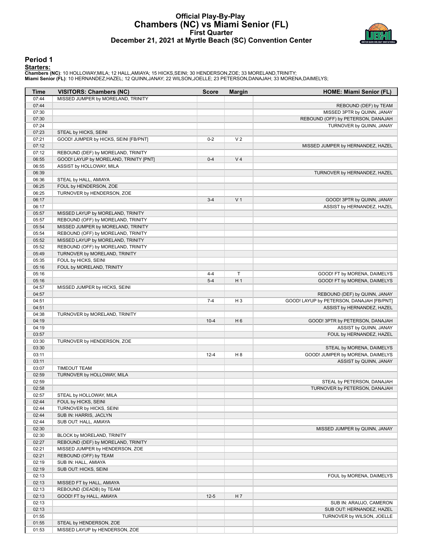#### **Official Play-By-Play Chambers (NC) vs Miami Senior (FL) First Quarter December 21, 2021 at Myrtle Beach (SC) Convention Center**



#### **Period 1**

#### **Starters:**

Chambers (NC): 10 HOLLOWAY,MILA; 12 HALL,AMIAYA; 15 HICKS,SEINI; 30 HENDERSON,ZOE; 33 MORELAND,TRINITY;<br>Miami Senior (FL): 10 HERNANDEZ,HAZEL; 12 QUINN,JANAY; 22 WILSON,JOELLE; 23 PETERSON,DANAJAH; 33 MORENA,DAIMELYS;

| Time           | <b>VISITORS: Chambers (NC)</b>                        | Score    | <b>Margin</b>  | HOME: Miami Senior (FL)                   |
|----------------|-------------------------------------------------------|----------|----------------|-------------------------------------------|
| 07:44          | MISSED JUMPER by MORELAND, TRINITY                    |          |                |                                           |
| 07:44          |                                                       |          |                | REBOUND (DEF) by TEAM                     |
| 07:30          |                                                       |          |                | MISSED 3PTR by QUINN, JANAY               |
| 07:30          |                                                       |          |                | REBOUND (OFF) by PETERSON, DANAJAH        |
| 07:24          |                                                       |          |                | TURNOVER by QUINN, JANAY                  |
| 07:23          | STEAL by HICKS, SEINI                                 |          |                |                                           |
| 07:21          | GOOD! JUMPER by HICKS, SEINI [FB/PNT]                 | $0 - 2$  | V <sub>2</sub> |                                           |
| 07:12          |                                                       |          |                | MISSED JUMPER by HERNANDEZ, HAZEL         |
| 07:12          | REBOUND (DEF) by MORELAND, TRINITY                    |          |                |                                           |
| 06:55          | GOOD! LAYUP by MORELAND, TRINITY [PNT]                | $0 - 4$  | V <sub>4</sub> |                                           |
| 06:55          | ASSIST by HOLLOWAY, MILA                              |          |                |                                           |
| 06:39          |                                                       |          |                | TURNOVER by HERNANDEZ, HAZEL              |
| 06:36          | STEAL by HALL, AMIAYA                                 |          |                |                                           |
| 06:25          | FOUL by HENDERSON, ZOE                                |          |                |                                           |
| 06:25          | TURNOVER by HENDERSON, ZOE                            |          |                |                                           |
| 06:17          |                                                       | $3 - 4$  | V <sub>1</sub> | GOOD! 3PTR by QUINN, JANAY                |
| 06:17          |                                                       |          |                | ASSIST by HERNANDEZ, HAZEL                |
| 05:57          | MISSED LAYUP by MORELAND, TRINITY                     |          |                |                                           |
| 05:57          | REBOUND (OFF) by MORELAND, TRINITY                    |          |                |                                           |
| 05:54          | MISSED JUMPER by MORELAND, TRINITY                    |          |                |                                           |
| 05:54          | REBOUND (OFF) by MORELAND, TRINITY                    |          |                |                                           |
| 05:52          | MISSED LAYUP by MORELAND, TRINITY                     |          |                |                                           |
| 05:52          | REBOUND (OFF) by MORELAND, TRINITY                    |          |                |                                           |
| 05:49<br>05:35 | TURNOVER by MORELAND, TRINITY<br>FOUL by HICKS, SEINI |          |                |                                           |
| 05:16          | FOUL by MORELAND, TRINITY                             |          |                |                                           |
| 05:16          |                                                       | $4 - 4$  | T              |                                           |
| 05:16          |                                                       | $5 - 4$  | H <sub>1</sub> | GOOD! FT by MORENA, DAIMELYS              |
| 04:57          | MISSED JUMPER by HICKS, SEINI                         |          |                | GOOD! FT by MORENA, DAIMELYS              |
| 04:57          |                                                       |          |                | REBOUND (DEF) by QUINN, JANAY             |
| 04:51          |                                                       | $7 - 4$  | H <sub>3</sub> | GOOD! LAYUP by PETERSON, DANAJAH [FB/PNT] |
| 04:51          |                                                       |          |                | ASSIST by HERNANDEZ, HAZEL                |
| 04:38          | TURNOVER by MORELAND, TRINITY                         |          |                |                                           |
| 04:19          |                                                       | $10 - 4$ | H <sub>6</sub> | GOOD! 3PTR by PETERSON, DANAJAH           |
| 04:19          |                                                       |          |                | ASSIST by QUINN, JANAY                    |
| 03:57          |                                                       |          |                | FOUL by HERNANDEZ, HAZEL                  |
| 03:30          | TURNOVER by HENDERSON, ZOE                            |          |                |                                           |
| 03:30          |                                                       |          |                | STEAL by MORENA, DAIMELYS                 |
| 03:11          |                                                       | $12 - 4$ | H <sub>8</sub> | GOOD! JUMPER by MORENA, DAIMELYS          |
| 03:11          |                                                       |          |                | ASSIST by QUINN, JANAY                    |
| 03:07          | <b>TIMEOUT TEAM</b>                                   |          |                |                                           |
| 02:59          | TURNOVER by HOLLOWAY, MILA                            |          |                |                                           |
| 02:59          |                                                       |          |                | STEAL by PETERSON, DANAJAH                |
| 02:58          |                                                       |          |                | TURNOVER by PETERSON, DANAJAH             |
| 02:57          | STEAL by HOLLOWAY, MILA                               |          |                |                                           |
| 02:44          | FOUL by HICKS, SEINI                                  |          |                |                                           |
| 02:44          | TURNOVER by HICKS, SEINI                              |          |                |                                           |
| 02:44          | SUB IN: HARRIS, JACLYN                                |          |                |                                           |
| 02:44          | SUB OUT: HALL, AMIAYA                                 |          |                |                                           |
| 02:30          |                                                       |          |                | MISSED JUMPER by QUINN, JANAY             |
| 02:30          | BLOCK by MORELAND, TRINITY                            |          |                |                                           |
| 02:27          | REBOUND (DEF) by MORELAND, TRINITY                    |          |                |                                           |
| 02:21          | MISSED JUMPER by HENDERSON, ZOE                       |          |                |                                           |
| 02:21          | REBOUND (OFF) by TEAM                                 |          |                |                                           |
| 02:19          | SUB IN: HALL, AMIAYA                                  |          |                |                                           |
| 02:19          | SUB OUT: HICKS, SEINI                                 |          |                |                                           |
| 02:13          |                                                       |          |                | FOUL by MORENA, DAIMELYS                  |
| 02:13          | MISSED FT by HALL, AMIAYA                             |          |                |                                           |
| 02:13          | REBOUND (DEADB) by TEAM                               |          |                |                                           |
| 02:13          | GOOD! FT by HALL, AMIAYA                              | $12-5$   | H 7            |                                           |
| 02:13          |                                                       |          |                | SUB IN: ARAUJO, CAMERON                   |
| 02:13          |                                                       |          |                | SUB OUT: HERNANDEZ, HAZEL                 |
| 01:55          |                                                       |          |                | TURNOVER by WILSON, JOELLE                |
| 01:55          | STEAL by HENDERSON, ZOE                               |          |                |                                           |
| 01:53          | MISSED LAYUP by HENDERSON, ZOE                        |          |                |                                           |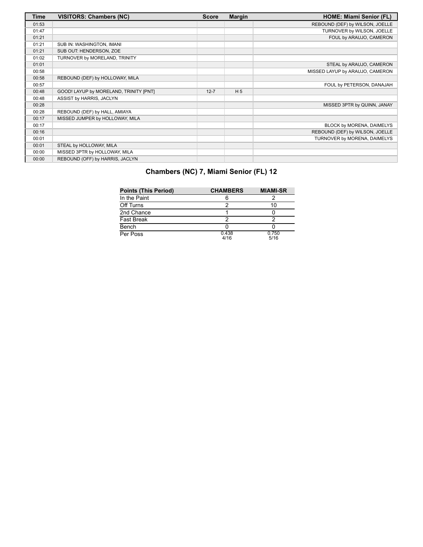| <b>Time</b> | <b>VISITORS: Chambers (NC)</b>         | <b>Score</b> | <b>Margin</b>  | <b>HOME: Miami Senior (FL)</b>  |
|-------------|----------------------------------------|--------------|----------------|---------------------------------|
| 01:53       |                                        |              |                | REBOUND (DEF) by WILSON, JOELLE |
| 01:47       |                                        |              |                | TURNOVER by WILSON, JOELLE      |
| 01:21       |                                        |              |                | FOUL by ARAUJO, CAMERON         |
| 01:21       | SUB IN: WASHINGTON, IMANI              |              |                |                                 |
| 01:21       | SUB OUT: HENDERSON, ZOE                |              |                |                                 |
| 01:02       | TURNOVER by MORELAND, TRINITY          |              |                |                                 |
| 01:01       |                                        |              |                | STEAL by ARAUJO, CAMERON        |
| 00:58       |                                        |              |                | MISSED LAYUP by ARAUJO, CAMERON |
| 00:58       | REBOUND (DEF) by HOLLOWAY, MILA        |              |                |                                 |
| 00:57       |                                        |              |                | FOUL by PETERSON, DANAJAH       |
| 00:48       | GOOD! LAYUP by MORELAND, TRINITY [PNT] | $12 - 7$     | H <sub>5</sub> |                                 |
| 00:48       | ASSIST by HARRIS, JACLYN               |              |                |                                 |
| 00:28       |                                        |              |                | MISSED 3PTR by QUINN, JANAY     |
| 00:28       | REBOUND (DEF) by HALL, AMIAYA          |              |                |                                 |
| 00:17       | MISSED JUMPER by HOLLOWAY, MILA        |              |                |                                 |
| 00:17       |                                        |              |                | BLOCK by MORENA, DAIMELYS       |
| 00:16       |                                        |              |                | REBOUND (DEF) by WILSON, JOELLE |
| 00:01       |                                        |              |                | TURNOVER by MORENA, DAIMELYS    |
| 00:01       | STEAL by HOLLOWAY, MILA                |              |                |                                 |
| 00:00       | MISSED 3PTR by HOLLOWAY, MILA          |              |                |                                 |
| 00:00       | REBOUND (OFF) by HARRIS, JACLYN        |              |                |                                 |

| <b>Points (This Period)</b> | <b>CHAMBERS</b> | <b>MIAMI-SR</b> |
|-----------------------------|-----------------|-----------------|
| In the Paint                |                 |                 |
| Off Turns                   | っ               | 10              |
| 2nd Chance                  |                 |                 |
| Fast Break                  | っ               | າ               |
| Bench                       |                 |                 |
| Per Poss                    | 0.438<br>4/16   | 0.750<br>5/16   |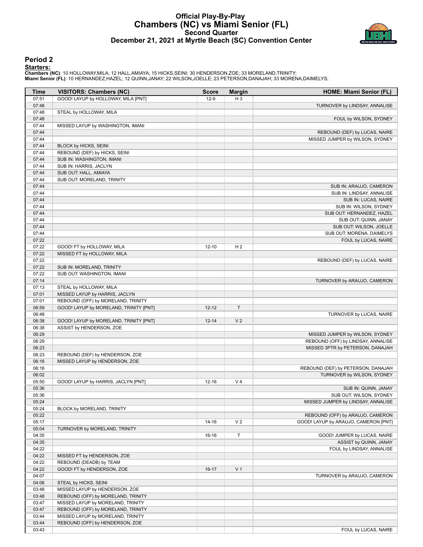## **Official Play-By-Play Chambers (NC) vs Miami Senior (FL) Second Quarter December 21, 2021 at Myrtle Beach (SC) Convention Center**



#### **Period 2**

#### **Starters:**

Chambers (NC): 10 HOLLOWAY,MILA; 12 HALL,AMIAYA; 15 HICKS,SEINI; 30 HENDERSON,ZOE; 33 MORELAND,TRINITY;<br>Miami Senior (FL): 10 HERNANDEZ,HAZEL; 12 QUINN,JANAY; 22 WILSON,JOELLE; 23 PETERSON,DANAJAH; 33 MORENA,DAIMELYS;

| Time           | <b>VISITORS: Chambers (NC)</b>                                       | <b>Score</b> | <b>Margin</b>  | HOME: Miami Senior (FL)              |
|----------------|----------------------------------------------------------------------|--------------|----------------|--------------------------------------|
| 07:51          | GOOD! LAYUP by HOLLOWAY, MILA [PNT]                                  | $12-9$       | $H_3$          |                                      |
| 07:48          |                                                                      |              |                | TURNOVER by LINDSAY, ANNALISE        |
| 07:48          | STEAL by HOLLOWAY, MILA                                              |              |                |                                      |
| 07:48          |                                                                      |              |                | FOUL by WILSON, SYDNEY               |
| 07:44          | MISSED LAYUP by WASHINGTON, IMANI                                    |              |                |                                      |
| 07:44          |                                                                      |              |                | REBOUND (DEF) by LUCAS, NAIRE        |
| 07:44          |                                                                      |              |                | MISSED JUMPER by WILSON, SYDNEY      |
| 07:44          | BLOCK by HICKS, SEINI                                                |              |                |                                      |
| 07:44          | REBOUND (DEF) by HICKS, SEINI                                        |              |                |                                      |
| 07:44          | SUB IN: WASHINGTON, IMANI                                            |              |                |                                      |
| 07:44          | SUB IN: HARRIS, JACLYN                                               |              |                |                                      |
| 07:44          | SUB OUT: HALL, AMIAYA                                                |              |                |                                      |
| 07:44          | SUB OUT: MORELAND, TRINITY                                           |              |                |                                      |
| 07:44          |                                                                      |              |                | SUB IN: ARAUJO, CAMERON              |
| 07:44          |                                                                      |              |                | SUB IN: LINDSAY, ANNALISE            |
| 07:44          |                                                                      |              |                | SUB IN: LUCAS, NAIRE                 |
| 07:44          |                                                                      |              |                | SUB IN: WILSON, SYDNEY               |
| 07:44          |                                                                      |              |                | SUB OUT: HERNANDEZ, HAZEL            |
| 07:44          |                                                                      |              |                | SUB OUT: QUINN, JANAY                |
| 07:44          |                                                                      |              |                | SUB OUT: WILSON, JOELLE              |
| 07:44          |                                                                      |              |                | SUB OUT: MORENA, DAIMELYS            |
| 07:22          |                                                                      |              |                | FOUL by LUCAS, NAIRE                 |
| 07:22          | GOOD! FT by HOLLOWAY, MILA                                           | $12 - 10$    | H <sub>2</sub> |                                      |
| 07:22          | MISSED FT by HOLLOWAY, MILA                                          |              |                |                                      |
| 07:22          |                                                                      |              |                | REBOUND (DEF) by LUCAS, NAIRE        |
| 07:22          | SUB IN: MORELAND, TRINITY                                            |              |                |                                      |
| 07:22          | SUB OUT: WASHINGTON, IMANI                                           |              |                |                                      |
| 07:14          |                                                                      |              |                | TURNOVER by ARAUJO, CAMERON          |
| 07:13          | STEAL by HOLLOWAY, MILA                                              |              |                |                                      |
| 07:01          | MISSED LAYUP by HARRIS, JACLYN                                       |              |                |                                      |
| 07:01          | REBOUND (OFF) by MORELAND, TRINITY                                   |              |                |                                      |
| 06:59          | GOOD! LAYUP by MORELAND, TRINITY [PNT]                               | $12 - 12$    | T              |                                      |
| 06:48          |                                                                      |              |                | TURNOVER by LUCAS, NAIRE             |
| 06:38          | GOOD! LAYUP by MORELAND, TRINITY [PNT]                               | $12 - 14$    | V <sub>2</sub> |                                      |
| 06:38          | ASSIST by HENDERSON, ZOE                                             |              |                |                                      |
| 06:29          |                                                                      |              |                | MISSED JUMPER by WILSON, SYDNEY      |
| 06:29          |                                                                      |              |                | REBOUND (OFF) by LINDSAY, ANNALISE   |
| 06:23          |                                                                      |              |                | MISSED 3PTR by PETERSON, DANAJAH     |
| 06:23          | REBOUND (DEF) by HENDERSON, ZOE                                      |              |                |                                      |
| 06:16          | MISSED LAYUP by HENDERSON, ZOE                                       |              |                |                                      |
| 06:16          |                                                                      |              |                | REBOUND (DEF) by PETERSON, DANAJAH   |
| 06:02          |                                                                      |              |                | TURNOVER by WILSON, SYDNEY           |
| 05:50          | GOOD! LAYUP by HARRIS, JACLYN [PNT]                                  | $12 - 16$    | V <sub>4</sub> |                                      |
| 05:36          |                                                                      |              |                | SUB IN: QUINN, JANAY                 |
| 05:36          |                                                                      |              |                | SUB OUT: WILSON, SYDNEY              |
| 05:24          |                                                                      |              |                | MISSED JUMPER by LINDSAY, ANNALISE   |
| 05:24          | BLOCK by MORELAND, TRINITY                                           |              |                | REBOUND (OFF) by ARAUJO, CAMERON     |
| 05:22          |                                                                      |              |                |                                      |
| 05:17          |                                                                      | $14 - 16$    | V <sub>2</sub> | GOOD! LAYUP by ARAUJO, CAMERON [PNT] |
| 05:04          | TURNOVER by MORELAND, TRINITY                                        |              |                |                                      |
| 04:35          |                                                                      | 16-16        | Т              | GOOD! JUMPER by LUCAS, NAIRE         |
| 04:35          |                                                                      |              |                | ASSIST by QUINN, JANAY               |
| 04:22          |                                                                      |              |                | FOUL by LINDSAY, ANNALISE            |
| 04:22          | MISSED FT by HENDERSON, ZOE                                          |              |                |                                      |
| 04:22<br>04:22 | REBOUND (DEADB) by TEAM                                              |              | V <sub>1</sub> |                                      |
| 04:07          | GOOD! FT by HENDERSON, ZOE                                           | $16-17$      |                |                                      |
| 04:06          | STEAL by HICKS, SEINI                                                |              |                | TURNOVER by ARAUJO, CAMERON          |
|                |                                                                      |              |                |                                      |
| 03:48<br>03:48 | MISSED LAYUP by HENDERSON, ZOE<br>REBOUND (OFF) by MORELAND, TRINITY |              |                |                                      |
| 03:47          | MISSED LAYUP by MORELAND, TRINITY                                    |              |                |                                      |
| 03:47          | REBOUND (OFF) by MORELAND, TRINITY                                   |              |                |                                      |
| 03:44          | MISSED LAYUP by MORELAND, TRINITY                                    |              |                |                                      |
| 03:44          | REBOUND (OFF) by HENDERSON, ZOE                                      |              |                |                                      |
|                |                                                                      |              |                | FOUL by LUCAS, NAIRE                 |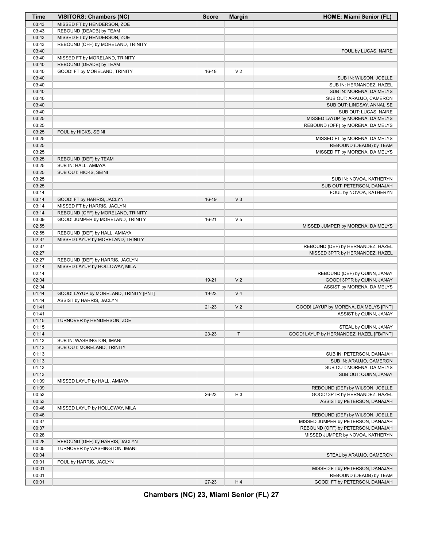| Time           | <b>VISITORS: Chambers (NC)</b>                | <b>Score</b> | <b>Margin</b>  | <b>HOME: Miami Senior (FL)</b>                                    |
|----------------|-----------------------------------------------|--------------|----------------|-------------------------------------------------------------------|
| 03:43          | MISSED FT by HENDERSON, ZOE                   |              |                |                                                                   |
| 03:43          | REBOUND (DEADB) by TEAM                       |              |                |                                                                   |
| 03:43          | MISSED FT by HENDERSON, ZOE                   |              |                |                                                                   |
| 03:43          | REBOUND (OFF) by MORELAND, TRINITY            |              |                |                                                                   |
| 03:40          |                                               |              |                | FOUL by LUCAS, NAIRE                                              |
| 03:40          | MISSED FT by MORELAND, TRINITY                |              |                |                                                                   |
| 03:40          | REBOUND (DEADB) by TEAM                       |              |                |                                                                   |
| 03:40          | GOOD! FT by MORELAND, TRINITY                 | 16-18        | V <sub>2</sub> |                                                                   |
| 03:40          |                                               |              |                | SUB IN: WILSON, JOELLE                                            |
| 03:40          |                                               |              |                | SUB IN: HERNANDEZ, HAZEL                                          |
| 03:40          |                                               |              |                | SUB IN: MORENA, DAIMELYS                                          |
| 03:40          |                                               |              |                | SUB OUT: ARAUJO, CAMERON                                          |
| 03:40          |                                               |              |                | SUB OUT: LINDSAY, ANNALISE                                        |
| 03:40          |                                               |              |                | SUB OUT: LUCAS, NAIRE                                             |
| 03:25          |                                               |              |                | MISSED LAYUP by MORENA, DAIMELYS                                  |
| 03:25          |                                               |              |                | REBOUND (OFF) by MORENA, DAIMELYS                                 |
| 03:25          | FOUL by HICKS, SEINI                          |              |                |                                                                   |
| 03:25          |                                               |              |                | MISSED FT by MORENA, DAIMELYS                                     |
| 03:25          |                                               |              |                | REBOUND (DEADB) by TEAM                                           |
| 03:25<br>03:25 |                                               |              |                | MISSED FT by MORENA, DAIMELYS                                     |
| 03:25          | REBOUND (DEF) by TEAM<br>SUB IN: HALL, AMIAYA |              |                |                                                                   |
| 03:25          | SUB OUT: HICKS, SEINI                         |              |                |                                                                   |
| 03:25          |                                               |              |                | SUB IN: NOVOA, KATHERYN                                           |
| 03:25          |                                               |              |                | SUB OUT: PETERSON, DANAJAH                                        |
| 03:14          |                                               |              |                | FOUL by NOVOA, KATHERYN                                           |
| 03:14          | GOOD! FT by HARRIS, JACLYN                    | 16-19        | V <sub>3</sub> |                                                                   |
| 03:14          | MISSED FT by HARRIS, JACLYN                   |              |                |                                                                   |
| 03:14          | REBOUND (OFF) by MORELAND, TRINITY            |              |                |                                                                   |
| 03:09          | GOOD! JUMPER by MORELAND, TRINITY             | $16 - 21$    | V <sub>5</sub> |                                                                   |
| 02:55          |                                               |              |                | MISSED JUMPER by MORENA, DAIMELYS                                 |
| 02:55          | REBOUND (DEF) by HALL, AMIAYA                 |              |                |                                                                   |
| 02:37          | MISSED LAYUP by MORELAND, TRINITY             |              |                |                                                                   |
| 02:37          |                                               |              |                | REBOUND (DEF) by HERNANDEZ, HAZEL                                 |
| 02:27          |                                               |              |                | MISSED 3PTR by HERNANDEZ, HAZEL                                   |
| 02:27          | REBOUND (DEF) by HARRIS, JACLYN               |              |                |                                                                   |
| 02:14          | MISSED LAYUP by HOLLOWAY, MILA                |              |                |                                                                   |
| 02:14          |                                               |              |                | REBOUND (DEF) by QUINN, JANAY                                     |
| 02:04          |                                               | 19-21        | V <sub>2</sub> | GOOD! 3PTR by QUINN, JANAY                                        |
| 02:04          |                                               |              |                | ASSIST by MORENA, DAIMELYS                                        |
| 01:44          | GOOD! LAYUP by MORELAND, TRINITY [PNT]        | 19-23        | V <sub>4</sub> |                                                                   |
| 01:44          | ASSIST by HARRIS, JACLYN                      |              |                |                                                                   |
| 01:41          |                                               | $21 - 23$    | V <sub>2</sub> | GOOD! LAYUP by MORENA, DAIMELYS [PNT]                             |
| 01:41          |                                               |              |                | ASSIST by QUINN, JANAY                                            |
| 01:15          | TURNOVER by HENDERSON, ZOE                    |              |                |                                                                   |
| 01:15<br>01:14 |                                               | 23-23        | T              | STEAL by QUINN, JANAY<br>GOOD! LAYUP by HERNANDEZ, HAZEL [FB/PNT] |
| 01:13          | SUB IN: WASHINGTON, IMANI                     |              |                |                                                                   |
| 01:13          | SUB OUT: MORELAND, TRINITY                    |              |                |                                                                   |
| 01:13          |                                               |              |                | SUB IN: PETERSON, DANAJAH                                         |
| 01:13          |                                               |              |                | SUB IN: ARAUJO, CAMERON                                           |
| 01:13          |                                               |              |                | SUB OUT: MORENA, DAIMELYS                                         |
| 01:13          |                                               |              |                | SUB OUT: QUINN, JANAY                                             |
| 01:09          | MISSED LAYUP by HALL, AMIAYA                  |              |                |                                                                   |
| 01:09          |                                               |              |                | REBOUND (DEF) by WILSON, JOELLE                                   |
| 00:53          |                                               | 26-23        | H <sub>3</sub> | GOOD! 3PTR by HERNANDEZ, HAZEL                                    |
| 00:53          |                                               |              |                | ASSIST by PETERSON, DANAJAH                                       |
| 00:46          | MISSED LAYUP by HOLLOWAY, MILA                |              |                |                                                                   |
| 00:46          |                                               |              |                | REBOUND (DEF) by WILSON, JOELLE                                   |
| 00:37          |                                               |              |                | MISSED JUMPER by PETERSON, DANAJAH                                |
| 00:37          |                                               |              |                | REBOUND (OFF) by PETERSON, DANAJAH                                |
| 00:28          |                                               |              |                | MISSED JUMPER by NOVOA, KATHERYN                                  |
| 00:28          | REBOUND (DEF) by HARRIS, JACLYN               |              |                |                                                                   |
| 00:05          | TURNOVER by WASHINGTON, IMANI                 |              |                |                                                                   |
| 00:04          |                                               |              |                | STEAL by ARAUJO, CAMERON                                          |
| 00:01          | FOUL by HARRIS, JACLYN                        |              |                |                                                                   |
| 00:01          |                                               |              |                | MISSED FT by PETERSON, DANAJAH                                    |
| 00:01          |                                               |              |                | REBOUND (DEADB) by TEAM                                           |
| 00:01          |                                               | 27-23        | H4             | GOOD! FT by PETERSON, DANAJAH                                     |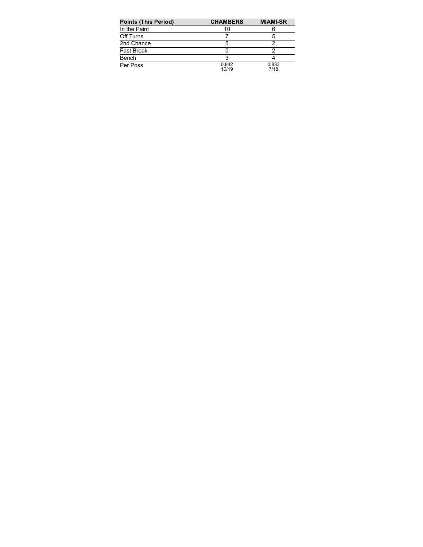| <b>Points (This Period)</b> | <b>CHAMBERS</b> | <b>MIAMI-SR</b> |
|-----------------------------|-----------------|-----------------|
| In the Paint                | 10              |                 |
| Off Turns                   |                 | 5               |
| 2nd Chance                  | 5               |                 |
| <b>Fast Break</b>           |                 |                 |
| Bench                       |                 |                 |
| Per Poss                    | 0.842<br>10/19  | 0.833<br>7/18   |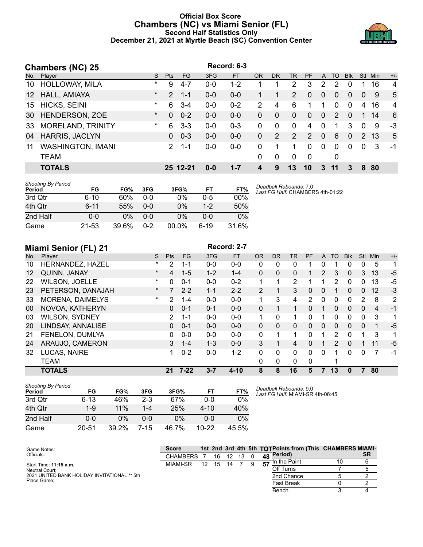## **Official Box Score Chambers (NC) vs Miami Senior (FL) Second Half Statistics Only December 21, 2021 at Myrtle Beach (SC) Convention Center**



|                 | <b>Chambers (NC) 25</b>  |         |               |           |         | Record: 6-3 |           |           |           |          |                |          |            |                |      |                |
|-----------------|--------------------------|---------|---------------|-----------|---------|-------------|-----------|-----------|-----------|----------|----------------|----------|------------|----------------|------|----------------|
| No.             | Player                   | S.      | <b>Pts</b>    | <b>FG</b> | 3FG     | <b>FT</b>   | <b>OR</b> | <b>DR</b> | <b>TR</b> | PF       | A              | TO       | <b>Blk</b> | <b>Stl</b>     | Min  | $+/-$          |
| 10              | <b>HOLLOWAY, MILA</b>    | $\ast$  | 9             | $4 - 7$   | $0 - 0$ | $1 - 2$     |           |           | 2         | 3        | 2              | 2        | 0          |                | 16   | $\overline{4}$ |
| 12 <sup>1</sup> | HALL, AMIAYA             | $\star$ | $\mathcal{P}$ | $1 - 1$   | $0 - 0$ | $0-0$       |           |           | 2         | 0        | $\Omega$       | $\Omega$ | 0          | $\overline{0}$ | 9    | 5              |
| 15              | <b>HICKS, SEINI</b>      | $\star$ | 6             | $3-4$     | $0 - 0$ | $0 - 2$     | 2         | 4         | 6         | 1        |                | $\Omega$ | $\Omega$   | 4              | 16   | 4              |
|                 | 30 HENDERSON, ZOE        | $\star$ | $\Omega$      | $0 - 2$   | $0 - 0$ | $0 - 0$     | $\Omega$  | $\Omega$  | $\Omega$  | $\Omega$ | $\overline{0}$ | 2        | $\Omega$   | 1              | 14   | 6              |
| 33              | <b>MORELAND, TRINITY</b> | $\star$ | 6             | $3 - 3$   | $0-0$   | $0 - 3$     | $\Omega$  | $\Omega$  | $\Omega$  | 4        | 0              |          | 3          | $\Omega$       | 9    | $-3$           |
| 04              | <b>HARRIS, JACLYN</b>    |         | 0             | $0 - 3$   | $0 - 0$ | $0 - 0$     | $\Omega$  | 2         | 2         | 2        | $\Omega$       | 6        | $\Omega$   |                | 2 13 | 5              |
| 11              | <b>WASHINGTON, IMANI</b> |         | $\mathcal{P}$ | $1 - 1$   | $0-0$   | $0-0$       | 0         |           |           | $\Omega$ | $\Omega$       | $\Omega$ | $\Omega$   | $\Omega$       | 3    | -1             |
|                 | <b>TEAM</b>              |         |               |           |         |             | $\Omega$  | 0         | $\Omega$  | 0        |                | 0        |            |                |      |                |
|                 | <b>TOTALS</b>            |         |               | 25 12-21  | $0 - 0$ | $1 - 7$     | 4         | 9         | 13        | 10       | 3              | 11       | 3          | 8              | 80   |                |

| <b>Shooting By Period</b><br>Period | FG       | FG%   | 3FG     | 3FG%  | FT      | FT%    | Deadball F<br>Last FG H |
|-------------------------------------|----------|-------|---------|-------|---------|--------|-------------------------|
| 3rd Qtr                             | $6 - 10$ | 60%   | $0 - 0$ | 0%    | 0-5     | $00\%$ |                         |
| 4th Qtr                             | $6 - 11$ | 55%   | $0 - 0$ | 0%    | $1 - 2$ | 50%    |                         |
| 2nd Half                            | 0-0      | 0%    | $0 - 0$ | 0%    | $0 - 0$ | 0%     |                         |
| Game                                | 21-53    | 39.6% | $0 - 2$ | 00.0% | 6-19    | 31.6%  |                         |

*Deadball Rebounds:* 7,0 *Last FG Half:* CHAMBERS 4th-01:22

|     | <b>Miami Senior (FL) 21</b> |          |                |           |         | Record: 2-7 |           |              |           |          |          |             |            |          |     |       |
|-----|-----------------------------|----------|----------------|-----------|---------|-------------|-----------|--------------|-----------|----------|----------|-------------|------------|----------|-----|-------|
| No. | Player                      | S        | Pts            | <b>FG</b> | 3FG     | <b>FT</b>   | <b>OR</b> | <b>DR</b>    | <b>TR</b> | PF       | A        | <b>TO</b>   | <b>Blk</b> | Stl      | Min | $+/-$ |
| 10  | HERNANDEZ, HAZEL            | $\star$  | 2              | 1-1       | $0 - 0$ | $0 - 0$     | 0         | 0            | 0         |          | 0        |             | 0          | 0        | 5   | 1     |
| 12  | QUINN, JANAY                | $\star$  | 4              | $1 - 5$   | $1 - 2$ | $1 - 4$     | $\Omega$  | $\mathbf{0}$ | 0         |          | 2        | 3           | 0          | 3        | 13  | $-5$  |
| 22  | <b>WILSON, JOELLE</b>       | $^\star$ | 0              | $0 - 1$   | $0 - 0$ | $0 - 2$     |           |              | 2         |          |          | 2           | 0          | 0        | 13  | $-5$  |
| 23  | PETERSON, DANAJAH           | $\star$  | 7              | $2 - 2$   | $1 - 1$ | $2 - 2$     | 2         |              | 3         | 0        | $\Omega$ |             | 0          | $\Omega$ | 12  | $-3$  |
| 33  | <b>MORENA, DAIMELYS</b>     | $\ast$   | 2              | $1 - 4$   | $0 - 0$ | $0-0$       | 1         | 3            | 4         | 2        | $\Omega$ | $\mathbf 0$ | 0          | 2        | 8   | 2     |
| 00  | NOVOA, KATHERYN             |          | 0              | $0 - 1$   | $0 - 1$ | $0 - 0$     | $\Omega$  |              | 1         | $\Omega$ |          | $\Omega$    | $\Omega$   | $\Omega$ | 4   | $-1$  |
| 03  | <b>WILSON, SYDNEY</b>       |          | $\overline{2}$ | $1 - 1$   | $0 - 0$ | $0 - 0$     | 1         | 0            | 1         | 0        |          | $\Omega$    | 0          | $\Omega$ | 3   | 1     |
| 20  | LINDSAY, ANNALISE           |          | 0              | $0 - 1$   | $0 - 0$ | $0 - 0$     | $\Omega$  | $\Omega$     | $\Omega$  | $\Omega$ | $\Omega$ | $\Omega$    | 0          | $\Omega$ | 1   | $-5$  |
| 21  | FENELON, DUMLYA             |          | 0              | $0 - 0$   | $0 - 0$ | $0 - 0$     | $\Omega$  | 1            | 1         | 0        |          | 2           | 0          | и        | 3   | 1     |
| 24  | ARAUJO, CAMERON             |          | 3              | $1 - 4$   | $1 - 3$ | $0 - 0$     | 3         |              | 4         | 0        |          | 2           | 0          |          | 11  | $-5$  |
| 32  | LUCAS, NAIRE                |          |                | $0 - 2$   | $0 - 0$ | $1 - 2$     | $\Omega$  | $\Omega$     | 0         | 0        | 0        |             | 0          | 0        | 7   | $-1$  |
|     | <b>TEAM</b>                 |          |                |           |         |             | $\Omega$  | 0            | 0         | 0        |          |             |            |          |     |       |
|     | <b>TOTALS</b>               |          | 21             | $7 - 22$  | $3 - 7$ | $4 - 10$    | 8         | 8            | 16        | 5        |          | 13          | 0          |          | 80  |       |

| <b>Shooting By Period</b><br>Period | FG        | FG%   | 3FG   | 3FG%  | FT        | FT%   |
|-------------------------------------|-----------|-------|-------|-------|-----------|-------|
| 3rd Qtr                             | $6 - 13$  | 46%   | $2-3$ | 67%   | $0 - 0$   | 0%    |
| 4th Qtr                             | $1 - 9$   | 11%   | 1-4   | 25%   | $4 - 10$  | 40%   |
| 2nd Half                            | ი-ი       | 0%    | ი-ი   | 0%    | $0 - 0$   | 0%    |
| Game                                | $20 - 51$ | 39.2% | 7-15  | 46.7% | $10 - 22$ | 45.5% |

*Deadball Rebounds:* 9,0 *Last FG Half:* MIAMI-SR 4th-06:45

| Game Notes:                                  | <b>Score</b> |    |    |    |    |    | 1st 2nd 3rd 4th 5th TOTPoints from (This CHAMBERS MIAMI- |    |           |
|----------------------------------------------|--------------|----|----|----|----|----|----------------------------------------------------------|----|-----------|
| Officials:                                   | CHAMBERS     |    | 16 | 12 | 13 |    | 48 Period)                                               |    | <b>SR</b> |
| Start Time: 11:15 a.m.                       | MIAMI-SR     | 12 | 15 | 14 |    | 57 | <b>⊣</b> n the Paint                                     | 10 |           |
| Neutral Court:                               |              |    |    |    |    |    | Off Turns                                                |    |           |
| 2021 UNITED BANK HOLIDAY INVITATIONAL ** 5th |              |    |    |    |    |    | 2nd Chance                                               |    |           |
| Place Game:                                  |              |    |    |    |    |    | <b>Fast Break</b>                                        |    |           |
|                                              |              |    |    |    |    |    | Bench                                                    |    |           |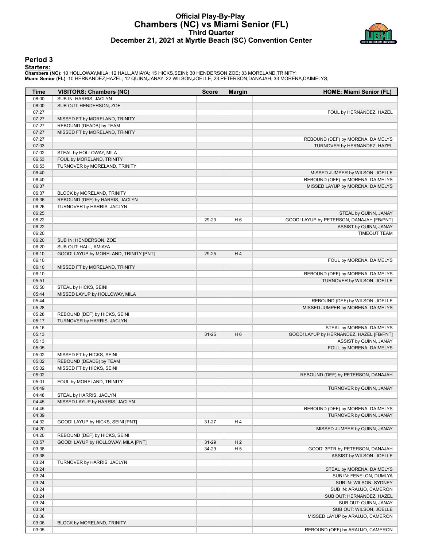### **Official Play-By-Play Chambers (NC) vs Miami Senior (FL) Third Quarter December 21, 2021 at Myrtle Beach (SC) Convention Center**



#### **Period 3**

#### **Starters:**

Chambers (NC): 10 HOLLOWAY,MILA; 12 HALL,AMIAYA; 15 HICKS,SEINI; 30 HENDERSON,ZOE; 33 MORELAND,TRINITY;<br>Miami Senior (FL): 10 HERNANDEZ,HAZEL; 12 QUINN,JANAY; 22 WILSON,JOELLE; 23 PETERSON,DANAJAH; 33 MORENA,DAIMELYS;

| Time           | <b>VISITORS: Chambers (NC)</b>         | <b>Score</b> | <b>Margin</b>  | <b>HOME: Miami Senior (FL)</b>                    |
|----------------|----------------------------------------|--------------|----------------|---------------------------------------------------|
| 08:00          | SUB IN: HARRIS, JACLYN                 |              |                |                                                   |
| 08:00          | SUB OUT: HENDERSON, ZOE                |              |                |                                                   |
| 07:27          |                                        |              |                | FOUL by HERNANDEZ, HAZEL                          |
| 07:27          | MISSED FT by MORELAND, TRINITY         |              |                |                                                   |
| 07:27          | REBOUND (DEADB) by TEAM                |              |                |                                                   |
| 07:27          | MISSED FT by MORELAND, TRINITY         |              |                |                                                   |
| 07:27          |                                        |              |                | REBOUND (DEF) by MORENA, DAIMELYS                 |
| 07:03          |                                        |              |                | TURNOVER by HERNANDEZ, HAZEL                      |
| 07:02          | STEAL by HOLLOWAY, MILA                |              |                |                                                   |
| 06:53          | FOUL by MORELAND, TRINITY              |              |                |                                                   |
| 06:53          | TURNOVER by MORELAND, TRINITY          |              |                |                                                   |
| 06:40          |                                        |              |                | MISSED JUMPER by WILSON, JOELLE                   |
| 06:40          |                                        |              |                | REBOUND (OFF) by MORENA, DAIMELYS                 |
| 06:37          |                                        |              |                | MISSED LAYUP by MORENA, DAIMELYS                  |
| 06:37          | BLOCK by MORELAND, TRINITY             |              |                |                                                   |
| 06:36          | REBOUND (DEF) by HARRIS, JACLYN        |              |                |                                                   |
| 06:26          | TURNOVER by HARRIS, JACLYN             |              |                |                                                   |
| 06:25          |                                        |              |                | STEAL by QUINN, JANAY                             |
| 06:22          |                                        | 29-23        | H <sub>6</sub> | GOOD! LAYUP by PETERSON, DANAJAH [FB/PNT]         |
| 06:22          |                                        |              |                | ASSIST by QUINN, JANAY                            |
| 06:20          |                                        |              |                | <b>TIMEOUT TEAM</b>                               |
| 06:20          | SUB IN: HENDERSON, ZOE                 |              |                |                                                   |
| 06:20          | SUB OUT: HALL, AMIAYA                  |              |                |                                                   |
| 06:10          | GOOD! LAYUP by MORELAND, TRINITY [PNT] | 29-25        | H4             |                                                   |
| 06:10          |                                        |              |                | FOUL by MORENA, DAIMELYS                          |
| 06:10          | MISSED FT by MORELAND, TRINITY         |              |                |                                                   |
| 06:10          |                                        |              |                | REBOUND (DEF) by MORENA, DAIMELYS                 |
| 05:51          |                                        |              |                | TURNOVER by WILSON, JOELLE                        |
| 05:50          | STEAL by HICKS, SEINI                  |              |                |                                                   |
| 05:44          | MISSED LAYUP by HOLLOWAY, MILA         |              |                |                                                   |
| 05:44          |                                        |              |                | REBOUND (DEF) by WILSON, JOELLE                   |
| 05:28          |                                        |              |                | MISSED JUMPER by MORENA, DAIMELYS                 |
| 05:28          | REBOUND (DEF) by HICKS, SEINI          |              |                |                                                   |
| 05:17          | TURNOVER by HARRIS, JACLYN             |              |                |                                                   |
| 05:16          |                                        |              |                | STEAL by MORENA, DAIMELYS                         |
| 05:13          |                                        | $31 - 25$    | H <sub>6</sub> | GOOD! LAYUP by HERNANDEZ, HAZEL [FB/PNT]          |
| 05:13          |                                        |              |                | ASSIST by QUINN, JANAY                            |
| 05:05          |                                        |              |                | FOUL by MORENA, DAIMELYS                          |
| 05:02          | MISSED FT by HICKS, SEINI              |              |                |                                                   |
| 05:02          | REBOUND (DEADB) by TEAM                |              |                |                                                   |
| 05:02          | MISSED FT by HICKS, SEINI              |              |                |                                                   |
| 05:02          |                                        |              |                | REBOUND (DEF) by PETERSON, DANAJAH                |
| 05:01          | FOUL by MORELAND, TRINITY              |              |                |                                                   |
| 04:49          |                                        |              |                | TURNOVER by QUINN, JANAY                          |
| 04:48          | STEAL by HARRIS, JACLYN                |              |                |                                                   |
| 04:45          | MISSED LAYUP by HARRIS, JACLYN         |              |                |                                                   |
| 04:45          |                                        |              |                | REBOUND (DEF) by MORENA, DAIMELYS                 |
| 04:39          |                                        |              |                | TURNOVER by QUINN, JANAY                          |
| 04:32          | GOOD! LAYUP by HICKS, SEINI [PNT]      | $31 - 27$    | H 4            |                                                   |
| 04:20          |                                        |              |                | MISSED JUMPER by QUINN, JANAY                     |
| 04:20          | REBOUND (DEF) by HICKS, SEINI          |              |                |                                                   |
| 03:57          | GOOD! LAYUP by HOLLOWAY, MILA [PNT]    | $31 - 29$    | H <sub>2</sub> |                                                   |
| 03:38          |                                        | 34-29        | H <sub>5</sub> | GOOD! 3PTR by PETERSON, DANAJAH                   |
| 03:38          |                                        |              |                | ASSIST by WILSON, JOELLE                          |
| 03:24          | TURNOVER by HARRIS, JACLYN             |              |                |                                                   |
| 03:24          |                                        |              |                | STEAL by MORENA, DAIMELYS                         |
| 03:24<br>03:24 |                                        |              |                | SUB IN: FENELON, DUMLYA<br>SUB IN: WILSON, SYDNEY |
| 03:24          |                                        |              |                | SUB IN: ARAUJO, CAMERON                           |
| 03:24          |                                        |              |                | SUB OUT: HERNANDEZ, HAZEL                         |
| 03:24          |                                        |              |                | SUB OUT: QUINN, JANAY                             |
| 03:24          |                                        |              |                | SUB OUT: WILSON, JOELLE                           |
| 03:06          |                                        |              |                | MISSED LAYUP by ARAUJO, CAMERON                   |
| 03:06          | BLOCK by MORELAND, TRINITY             |              |                |                                                   |
| 03:05          |                                        |              |                | REBOUND (OFF) by ARAUJO, CAMERON                  |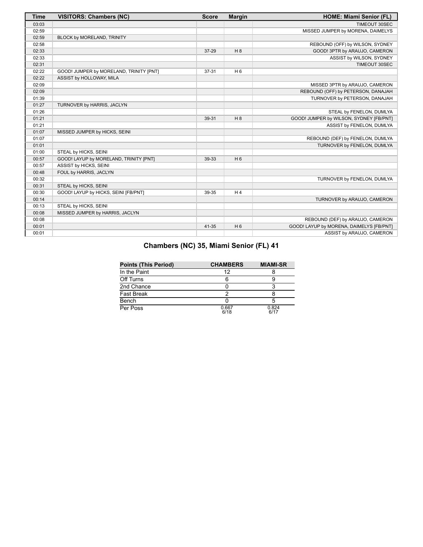| <b>Time</b> | <b>VISITORS: Chambers (NC)</b>          | <b>Score</b> | <b>Margin</b>  | <b>HOME: Miami Senior (FL)</b>           |
|-------------|-----------------------------------------|--------------|----------------|------------------------------------------|
| 03:03       |                                         |              |                | TIMEOUT 30SEC                            |
| 02:59       |                                         |              |                | MISSED JUMPER by MORENA, DAIMELYS        |
| 02:59       | BLOCK by MORELAND, TRINITY              |              |                |                                          |
| 02:58       |                                         |              |                | REBOUND (OFF) by WILSON, SYDNEY          |
| 02:33       |                                         | 37-29        | H8             | GOOD! 3PTR by ARAUJO, CAMERON            |
| 02:33       |                                         |              |                | ASSIST by WILSON, SYDNEY                 |
| 02:31       |                                         |              |                | TIMEOUT 30SEC                            |
| 02:22       | GOOD! JUMPER by MORELAND, TRINITY [PNT] | 37-31        | H <sub>6</sub> |                                          |
| 02:22       | ASSIST by HOLLOWAY, MILA                |              |                |                                          |
| 02:09       |                                         |              |                | MISSED 3PTR by ARAUJO, CAMERON           |
| 02:09       |                                         |              |                | REBOUND (OFF) by PETERSON, DANAJAH       |
| 01:39       |                                         |              |                | TURNOVER by PETERSON, DANAJAH            |
| 01:27       | TURNOVER by HARRIS, JACLYN              |              |                |                                          |
| 01:26       |                                         |              |                | STEAL by FENELON, DUMLYA                 |
| 01:21       |                                         | 39-31        | H8             | GOOD! JUMPER by WILSON, SYDNEY [FB/PNT]  |
| 01:21       |                                         |              |                | ASSIST by FENELON, DUMLYA                |
| 01:07       | MISSED JUMPER by HICKS, SEINI           |              |                |                                          |
| 01:07       |                                         |              |                | REBOUND (DEF) by FENELON, DUMLYA         |
| 01:01       |                                         |              |                | TURNOVER by FENELON, DUMLYA              |
| 01:00       | STEAL by HICKS, SEINI                   |              |                |                                          |
| 00:57       | GOOD! LAYUP by MORELAND, TRINITY [PNT]  | 39-33        | H <sub>6</sub> |                                          |
| 00:57       | ASSIST by HICKS, SEINI                  |              |                |                                          |
| 00:48       | FOUL by HARRIS, JACLYN                  |              |                |                                          |
| 00:32       |                                         |              |                | TURNOVER by FENELON, DUMLYA              |
| 00:31       | STEAL by HICKS, SEINI                   |              |                |                                          |
| 00:30       | GOOD! LAYUP by HICKS, SEINI [FB/PNT]    | 39-35        | H <sub>4</sub> |                                          |
| 00:14       |                                         |              |                | TURNOVER by ARAUJO, CAMERON              |
| 00:13       | STEAL by HICKS, SEINI                   |              |                |                                          |
| 00:08       | MISSED JUMPER by HARRIS, JACLYN         |              |                |                                          |
| 00:08       |                                         |              |                | REBOUND (DEF) by ARAUJO, CAMERON         |
| 00:01       |                                         | 41-35        | H <sub>6</sub> | GOOD! LAYUP by MORENA, DAIMELYS [FB/PNT] |
| 00:01       |                                         |              |                | ASSIST by ARAUJO, CAMERON                |

| <b>Points (This Period)</b> | <b>CHAMBERS</b> | <b>MIAMI-SR</b> |
|-----------------------------|-----------------|-----------------|
| In the Paint                | 12              |                 |
| Off Turns                   |                 |                 |
| 2nd Chance                  |                 |                 |
| <b>Fast Break</b>           | っ               |                 |
| Bench                       |                 | 5               |
| Per Poss                    | 0.667<br>6/18   | 0.824<br>6/17   |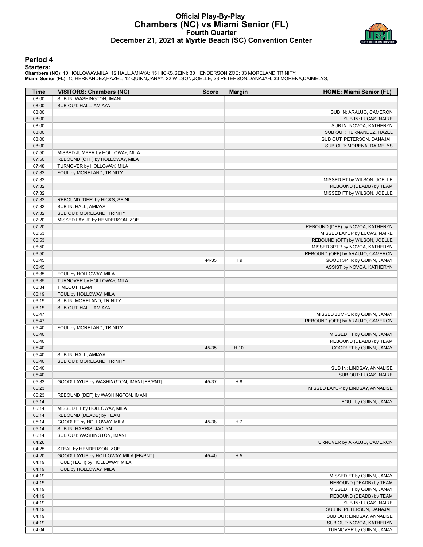## **Official Play-By-Play Chambers (NC) vs Miami Senior (FL) Fourth Quarter December 21, 2021 at Myrtle Beach (SC) Convention Center**



#### **Period 4**

#### **Starters:**

Chambers (NC): 10 HOLLOWAY,MILA; 12 HALL,AMIAYA; 15 HICKS,SEINI; 30 HENDERSON,ZOE; 33 MORELAND,TRINITY;<br>Miami Senior (FL): 10 HERNANDEZ,HAZEL; 12 QUINN,JANAY; 22 WILSON,JOELLE; 23 PETERSON,DANAJAH; 33 MORENA,DAIMELYS;

| Time           | <b>VISITORS: Chambers (NC)</b>                         | <b>Score</b> | <b>Margin</b>  | <b>HOME: Miami Senior (FL)</b>    |
|----------------|--------------------------------------------------------|--------------|----------------|-----------------------------------|
| 08:00          | SUB IN: WASHINGTON, IMANI                              |              |                |                                   |
| 08:00          | SUB OUT: HALL, AMIAYA                                  |              |                |                                   |
| 08:00          |                                                        |              |                | SUB IN: ARAUJO, CAMERON           |
| 08:00          |                                                        |              |                | SUB IN: LUCAS, NAIRE              |
| 08:00          |                                                        |              |                | SUB IN: NOVOA, KATHERYN           |
| 08:00          |                                                        |              |                | SUB OUT: HERNANDEZ, HAZEL         |
| 08:00          |                                                        |              |                | SUB OUT: PETERSON, DANAJAH        |
| 08:00          |                                                        |              |                | SUB OUT: MORENA, DAIMELYS         |
| 07:50          | MISSED JUMPER by HOLLOWAY, MILA                        |              |                |                                   |
| 07:50          | REBOUND (OFF) by HOLLOWAY, MILA                        |              |                |                                   |
| 07:48          | TURNOVER by HOLLOWAY, MILA                             |              |                |                                   |
| 07:32          | FOUL by MORELAND, TRINITY                              |              |                |                                   |
| 07:32          |                                                        |              |                | MISSED FT by WILSON, JOELLE       |
| 07:32          |                                                        |              |                | REBOUND (DEADB) by TEAM           |
| 07:32          |                                                        |              |                | MISSED FT by WILSON, JOELLE       |
| 07:32          | REBOUND (DEF) by HICKS, SEINI                          |              |                |                                   |
| 07:32          | SUB IN: HALL, AMIAYA                                   |              |                |                                   |
| 07:32          | SUB OUT: MORELAND, TRINITY                             |              |                |                                   |
| 07:20          | MISSED LAYUP by HENDERSON, ZOE                         |              |                |                                   |
| 07:20          |                                                        |              |                | REBOUND (DEF) by NOVOA, KATHERYN  |
| 06:53          |                                                        |              |                | MISSED LAYUP by LUCAS, NAIRE      |
| 06:53          |                                                        |              |                | REBOUND (OFF) by WILSON, JOELLE   |
| 06:50          |                                                        |              |                | MISSED 3PTR by NOVOA, KATHERYN    |
| 06:50          |                                                        |              |                | REBOUND (OFF) by ARAUJO, CAMERON  |
| 06:45          |                                                        | 44-35        | H9             | GOOD! 3PTR by QUINN, JANAY        |
| 06:45          |                                                        |              |                | ASSIST by NOVOA, KATHERYN         |
| 06:35          | FOUL by HOLLOWAY, MILA                                 |              |                |                                   |
| 06:35          | TURNOVER by HOLLOWAY, MILA                             |              |                |                                   |
| 06:34          | <b>TIMEOUT TEAM</b>                                    |              |                |                                   |
| 06:19          | FOUL by HOLLOWAY, MILA                                 |              |                |                                   |
| 06:19          | SUB IN: MORELAND, TRINITY                              |              |                |                                   |
| 06:19          | SUB OUT: HALL, AMIAYA                                  |              |                |                                   |
| 05:47          |                                                        |              |                | MISSED JUMPER by QUINN, JANAY     |
| 05:47          |                                                        |              |                | REBOUND (OFF) by ARAUJO, CAMERON  |
| 05:40          | FOUL by MORELAND, TRINITY                              |              |                |                                   |
| 05:40          |                                                        |              |                | MISSED FT by QUINN, JANAY         |
| 05:40          |                                                        |              |                | REBOUND (DEADB) by TEAM           |
| 05:40          |                                                        | 45-35        | H 10           | GOOD! FT by QUINN, JANAY          |
| 05:40          | SUB IN: HALL, AMIAYA                                   |              |                |                                   |
| 05:40          | SUB OUT: MORELAND, TRINITY                             |              |                |                                   |
| 05:40          |                                                        |              |                | SUB IN: LINDSAY, ANNALISE         |
| 05:40          |                                                        |              |                | SUB OUT: LUCAS, NAIRE             |
| 05:33          | GOOD! LAYUP by WASHINGTON, IMANI [FB/PNT]              | 45-37        | H <sub>8</sub> |                                   |
| 05:23          |                                                        |              |                | MISSED LAYUP by LINDSAY, ANNALISE |
| 05:23          | REBOUND (DEF) by WASHINGTON, IMANI                     |              |                |                                   |
| 05:14          |                                                        |              |                | FOUL by QUINN, JANAY              |
| 05:14<br>05:14 | MISSED FT by HOLLOWAY, MILA<br>REBOUND (DEADB) by TEAM |              |                |                                   |
| 05:14          | GOOD! FT by HOLLOWAY, MILA                             | 45-38        | H 7            |                                   |
| 05:14          | SUB IN: HARRIS, JACLYN                                 |              |                |                                   |
| 05:14          | SUB OUT: WASHINGTON, IMANI                             |              |                |                                   |
| 04:26          |                                                        |              |                | TURNOVER by ARAUJO, CAMERON       |
| 04:25          | STEAL by HENDERSON, ZOE                                |              |                |                                   |
| 04:20          | GOOD! LAYUP by HOLLOWAY, MILA [FB/PNT]                 | 45-40        | H <sub>5</sub> |                                   |
| 04:19          | FOUL (TECH) by HOLLOWAY, MILA                          |              |                |                                   |
| 04:19          | FOUL by HOLLOWAY, MILA                                 |              |                |                                   |
| 04:19          |                                                        |              |                | MISSED FT by QUINN, JANAY         |
| 04:19          |                                                        |              |                | REBOUND (DEADB) by TEAM           |
| 04:19          |                                                        |              |                | MISSED FT by QUINN, JANAY         |
| 04:19          |                                                        |              |                | REBOUND (DEADB) by TEAM           |
| 04:19          |                                                        |              |                | SUB IN: LUCAS, NAIRE              |
| 04:19          |                                                        |              |                | SUB IN: PETERSON, DANAJAH         |
| 04:19          |                                                        |              |                | SUB OUT: LINDSAY, ANNALISE        |
| 04:19          |                                                        |              |                | SUB OUT: NOVOA, KATHERYN          |
| 04:04          |                                                        |              |                | TURNOVER by QUINN, JANAY          |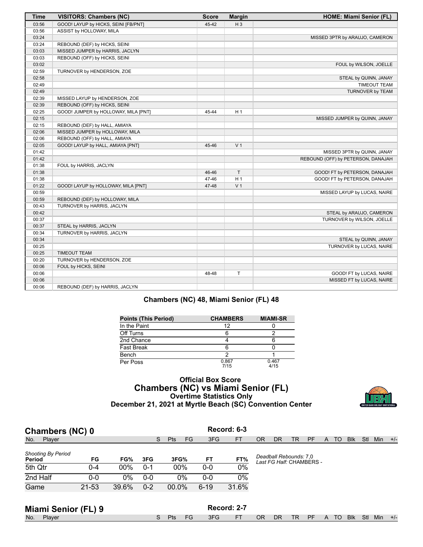| <b>Time</b> | <b>VISITORS: Chambers (NC)</b>       | <b>Score</b> | <b>Margin</b>  | HOME: Miami Senior (FL)            |
|-------------|--------------------------------------|--------------|----------------|------------------------------------|
| 03:56       | GOOD! LAYUP by HICKS, SEINI [FB/PNT] | 45-42        | $H_3$          |                                    |
| 03:56       | ASSIST by HOLLOWAY, MILA             |              |                |                                    |
| 03:24       |                                      |              |                | MISSED 3PTR by ARAUJO, CAMERON     |
| 03:24       | REBOUND (DEF) by HICKS, SEINI        |              |                |                                    |
| 03:03       | MISSED JUMPER by HARRIS, JACLYN      |              |                |                                    |
| 03:03       | REBOUND (OFF) by HICKS, SEINI        |              |                |                                    |
| 03:02       |                                      |              |                | FOUL by WILSON, JOELLE             |
| 02:59       | TURNOVER by HENDERSON, ZOE           |              |                |                                    |
| 02:58       |                                      |              |                | STEAL by QUINN, JANAY              |
| 02:49       |                                      |              |                | <b>TIMEOUT TEAM</b>                |
| 02:49       |                                      |              |                | TURNOVER by TEAM                   |
| 02:39       | MISSED LAYUP by HENDERSON, ZOE       |              |                |                                    |
| 02:39       | REBOUND (OFF) by HICKS, SEINI        |              |                |                                    |
| 02:25       | GOOD! JUMPER by HOLLOWAY, MILA [PNT] | 45-44        | H <sub>1</sub> |                                    |
| 02:15       |                                      |              |                | MISSED JUMPER by QUINN, JANAY      |
| 02:15       | REBOUND (DEF) by HALL, AMIAYA        |              |                |                                    |
| 02:06       | MISSED JUMPER by HOLLOWAY, MILA      |              |                |                                    |
| 02:06       | REBOUND (OFF) by HALL, AMIAYA        |              |                |                                    |
| 02:05       | GOOD! LAYUP by HALL, AMIAYA [PNT]    | 45-46        | V <sub>1</sub> |                                    |
| 01:42       |                                      |              |                | MISSED 3PTR by QUINN, JANAY        |
| 01:42       |                                      |              |                | REBOUND (OFF) by PETERSON, DANAJAH |
| 01:38       | FOUL by HARRIS, JACLYN               |              |                |                                    |
| 01:38       |                                      | 46-46        | T.             | GOOD! FT by PETERSON, DANAJAH      |
| 01:38       |                                      | 47-46        | H <sub>1</sub> | GOOD! FT by PETERSON, DANAJAH      |
| 01:22       | GOOD! LAYUP by HOLLOWAY, MILA [PNT]  | 47-48        | V <sub>1</sub> |                                    |
| 00:59       |                                      |              |                | MISSED LAYUP by LUCAS, NAIRE       |
| 00:59       | REBOUND (DEF) by HOLLOWAY, MILA      |              |                |                                    |
| 00:43       | TURNOVER by HARRIS, JACLYN           |              |                |                                    |
| 00:42       |                                      |              |                | STEAL by ARAUJO, CAMERON           |
| 00:37       |                                      |              |                | TURNOVER by WILSON, JOELLE         |
| 00:37       | STEAL by HARRIS, JACLYN              |              |                |                                    |
| 00:34       | TURNOVER by HARRIS, JACLYN           |              |                |                                    |
| 00:34       |                                      |              |                | STEAL by QUINN, JANAY              |
| 00:25       |                                      |              |                | TURNOVER by LUCAS, NAIRE           |
| 00:25       | <b>TIMEOUT TEAM</b>                  |              |                |                                    |
| 00:20       | TURNOVER by HENDERSON, ZOE           |              |                |                                    |
| 00:06       | FOUL by HICKS, SEINI                 |              |                |                                    |
| 00:06       |                                      | 48-48        | T              | GOOD! FT by LUCAS, NAIRE           |
| 00:06       |                                      |              |                | MISSED FT by LUCAS, NAIRE          |
| 00:06       | REBOUND (DEF) by HARRIS, JACLYN      |              |                |                                    |

## **Chambers (NC) 48, Miami Senior (FL) 48**

| <b>Points (This Period)</b> | <b>CHAMBERS</b> | <b>MIAMI-SR</b> |
|-----------------------------|-----------------|-----------------|
| In the Paint                | 12              |                 |
| Off Turns                   |                 |                 |
| 2nd Chance                  |                 |                 |
| <b>Fast Break</b>           | 6               |                 |
| Bench                       | າ               |                 |
| Per Poss                    | 0.867<br>7/15   | 0.467<br>4/15   |

## **Official Box Score Chambers (NC) vs Miami Senior (FL) Overtime Statistics Only December 21, 2021 at Myrtle Beach (SC) Convention Center**



| Record: 6-3<br>Chambers (NC) 0      |           |       |         |                         |          |           |           |                                                    |    |    |   |    |            |     |            |       |
|-------------------------------------|-----------|-------|---------|-------------------------|----------|-----------|-----------|----------------------------------------------------|----|----|---|----|------------|-----|------------|-------|
| No.<br>Player                       |           |       | S       | <b>FG</b><br><b>Pts</b> | 3FG      | <b>FT</b> | <b>OR</b> | <b>DR</b>                                          | TR | PF | A | TO | <b>Blk</b> | Stl | <b>Min</b> | $+/-$ |
| <b>Shooting By Period</b><br>Period | FG        | FG%   | 3FG     | 3FG%                    | FT       | FT%       |           | Deadball Rebounds: 7,0<br>Last FG Half: CHAMBERS - |    |    |   |    |            |     |            |       |
| 5th Qtr                             | 0-4       | 00%   | $0 - 1$ | 00%                     | 0-0      | 0%        |           |                                                    |    |    |   |    |            |     |            |       |
| 2nd Half                            | $0 - 0$   | 0%    | $0 - 0$ | 0%                      | 0-0      | 0%        |           |                                                    |    |    |   |    |            |     |            |       |
| Game                                | $21 - 53$ | 39.6% | $0 - 2$ | 00.0%                   | $6 - 19$ | 31.6%     |           |                                                    |    |    |   |    |            |     |            |       |
|                                     |           |       |         |                         |          |           |           |                                                    |    |    |   |    |            |     |            |       |
|                                     |           |       |         |                         |          | .         |           |                                                    |    |    |   |    |            |     |            |       |

|     | <b>Miami Senior (FL) 9</b> |            | Record: 2-7 |      |                      |            |                         |  |  |  |
|-----|----------------------------|------------|-------------|------|----------------------|------------|-------------------------|--|--|--|
| No. | Player                     | <b>Pts</b> | 3FG         | OR I | $\angle$ DR $\angle$ | $\sqrt{R}$ | PF A TO Blk Stl Min +/- |  |  |  |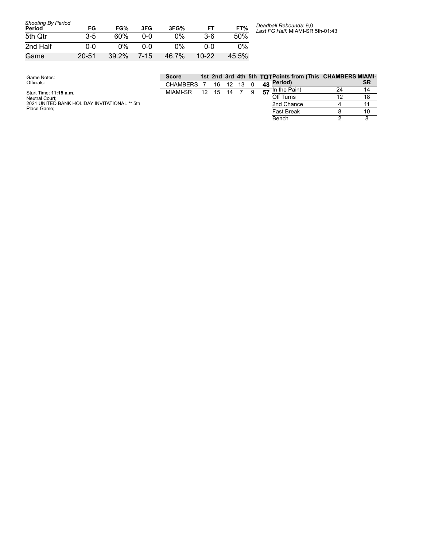| <b>Shooting By Period</b><br>Period | FG        | FG%   | 3FG  | 3FG%  | FT      | FT%   |
|-------------------------------------|-----------|-------|------|-------|---------|-------|
| 5th Qtr                             | 3-5       | 60%   | ი-ი  | 0%    | 3-6     | 50%   |
| 2nd Half                            | 0-0       | 0%    | ი-ი  | $0\%$ | ი-ი     | 0%    |
| Game                                | $20 - 51$ | 39.2% | 7-15 | 46.7% | $10-22$ | 45.5% |

*Deadball Rebounds:* 9,0 *Last FG Half:* MIAMI-SR 5th-01:43

| Game Notes:                                  | <b>Score</b>    |    |    |    |  | 1st 2nd 3rd 4th 5th TOTPoints from (This CHAMBERS MIAMI- |    |    |
|----------------------------------------------|-----------------|----|----|----|--|----------------------------------------------------------|----|----|
| Officials:                                   | <b>CHAMBERS</b> |    | 16 | 12 |  | $\overline{48}$ Period)                                  |    | SR |
| Start Time: 11:15 a.m.                       | <b>MIAMI-SR</b> | 12 | 15 | 14 |  | <b>th</b> the Paint                                      | 24 | 14 |
| Neutral Court:                               |                 |    |    |    |  | Off Turns                                                |    | 18 |
| 2021 UNITED BANK HOLIDAY INVITATIONAL ** 5th |                 |    |    |    |  | 2nd Chance                                               |    |    |
| Place Game:                                  |                 |    |    |    |  | <b>Fast Break</b>                                        |    | 10 |
|                                              |                 |    |    |    |  | Bench                                                    |    |    |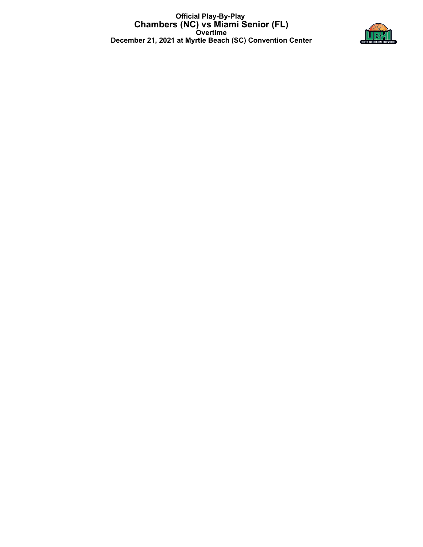**Official Play-By-Play Chambers (NC) vs Miami Senior (FL) Overtime December 21, 2021 at Myrtle Beach (SC) Convention Center**

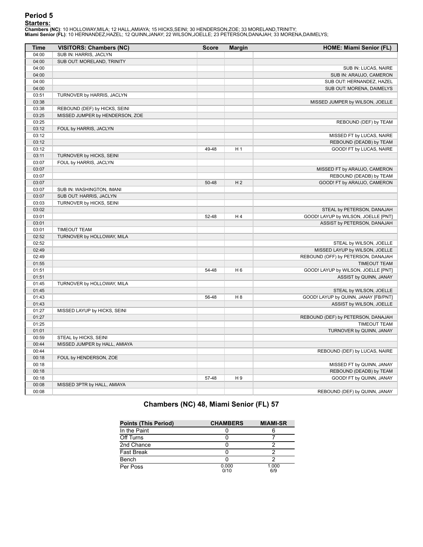<mark>Starters:</mark><br>Chambers (NC): 10 HOLLOWAY,MILA; 12 HALL,AMIAYA; 15 HICKS,SEINI; 30 HENDERSON,ZOE; 33 MORELAND,TRINITY;<br>Miami Senior (FL): 10 HERNANDEZ,HAZEL; 12 QUINN,JANAY; 22 WILSON,JOELLE; 23 PETERSON,DANAJAH; 33 MORENA,DA

| <b>Time</b> | <b>VISITORS: Chambers (NC)</b>  | <b>Score</b> | <b>Margin</b>  | HOME: Miami Senior (FL)              |
|-------------|---------------------------------|--------------|----------------|--------------------------------------|
| 04:00       | SUB IN: HARRIS, JACLYN          |              |                |                                      |
| 04:00       | SUB OUT: MORELAND, TRINITY      |              |                |                                      |
| 04:00       |                                 |              |                | SUB IN: LUCAS, NAIRE                 |
| 04:00       |                                 |              |                | SUB IN: ARAUJO, CAMERON              |
| 04:00       |                                 |              |                | SUB OUT: HERNANDEZ, HAZEL            |
| 04:00       |                                 |              |                | SUB OUT: MORENA, DAIMELYS            |
| 03:51       | TURNOVER by HARRIS, JACLYN      |              |                |                                      |
| 03:38       |                                 |              |                | MISSED JUMPER by WILSON, JOELLE      |
| 03:38       | REBOUND (DEF) by HICKS, SEINI   |              |                |                                      |
| 03:25       | MISSED JUMPER by HENDERSON, ZOE |              |                |                                      |
| 03:25       |                                 |              |                | REBOUND (DEF) by TEAM                |
| 03:12       | FOUL by HARRIS, JACLYN          |              |                |                                      |
| 03:12       |                                 |              |                | MISSED FT by LUCAS, NAIRE            |
| 03:12       |                                 |              |                | REBOUND (DEADB) by TEAM              |
| 03:12       |                                 | 49-48        | H <sub>1</sub> | GOOD! FT by LUCAS, NAIRE             |
| 03:11       | TURNOVER by HICKS, SEINI        |              |                |                                      |
| 03:07       | FOUL by HARRIS, JACLYN          |              |                |                                      |
| 03:07       |                                 |              |                | MISSED FT by ARAUJO, CAMERON         |
| 03:07       |                                 |              |                | REBOUND (DEADB) by TEAM              |
| 03:07       |                                 | 50-48        | H <sub>2</sub> | GOOD! FT by ARAUJO, CAMERON          |
| 03:07       | SUB IN: WASHINGTON, IMANI       |              |                |                                      |
| 03:07       | SUB OUT: HARRIS, JACLYN         |              |                |                                      |
| 03:03       | TURNOVER by HICKS, SEINI        |              |                |                                      |
| 03:02       |                                 |              |                | STEAL by PETERSON, DANAJAH           |
| 03:01       |                                 | 52-48        | H <sub>4</sub> | GOOD! LAYUP by WILSON, JOELLE [PNT]  |
| 03:01       |                                 |              |                | ASSIST by PETERSON, DANAJAH          |
| 03:01       | <b>TIMEOUT TEAM</b>             |              |                |                                      |
| 02:52       | TURNOVER by HOLLOWAY, MILA      |              |                |                                      |
| 02:52       |                                 |              |                | STEAL by WILSON, JOELLE              |
| 02:49       |                                 |              |                | MISSED LAYUP by WILSON, JOELLE       |
| 02:49       |                                 |              |                | REBOUND (OFF) by PETERSON, DANAJAH   |
| 01:55       |                                 |              |                | <b>TIMEOUT TEAM</b>                  |
| 01:51       |                                 | 54-48        | H <sub>6</sub> | GOOD! LAYUP by WILSON, JOELLE [PNT]  |
| 01:51       |                                 |              |                | ASSIST by QUINN, JANAY               |
| 01:45       | TURNOVER by HOLLOWAY, MILA      |              |                |                                      |
| 01:45       |                                 |              |                | STEAL by WILSON, JOELLE              |
| 01:43       |                                 | 56-48        | H <sub>8</sub> | GOOD! LAYUP by QUINN, JANAY [FB/PNT] |
| 01:43       |                                 |              |                | ASSIST by WILSON, JOELLE             |
| 01:27       | MISSED LAYUP by HICKS, SEINI    |              |                |                                      |
| 01:27       |                                 |              |                | REBOUND (DEF) by PETERSON, DANAJAH   |
| 01:25       |                                 |              |                | <b>TIMEOUT TEAM</b>                  |
| 01:01       |                                 |              |                | TURNOVER by QUINN, JANAY             |
| 00:59       | STEAL by HICKS, SEINI           |              |                |                                      |
| 00:44       | MISSED JUMPER by HALL, AMIAYA   |              |                |                                      |
| 00:44       |                                 |              |                | REBOUND (DEF) by LUCAS, NAIRE        |
| 00:18       | FOUL by HENDERSON, ZOE          |              |                |                                      |
| 00:18       |                                 |              |                | MISSED FT by QUINN, JANAY            |
| 00:18       |                                 |              |                | REBOUND (DEADB) by TEAM              |
| 00:18       |                                 | 57-48        | H9             | GOOD! FT by QUINN, JANAY             |
| 00:08       | MISSED 3PTR by HALL, AMIAYA     |              |                |                                      |
| 00:08       |                                 |              |                | REBOUND (DEF) by QUINN, JANAY        |

| <b>Points (This Period)</b> | <b>CHAMBERS</b> | <b>MIAMI-SR</b> |
|-----------------------------|-----------------|-----------------|
| In the Paint                |                 |                 |
| Off Turns                   |                 |                 |
| 2nd Chance                  |                 |                 |
| <b>Fast Break</b>           |                 |                 |
| Bench                       |                 |                 |
| Per Poss                    | 0.000<br>0/10   | 1.000<br>6/9    |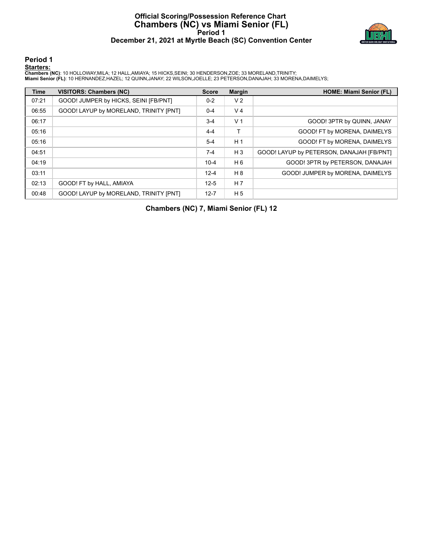## **Official Scoring/Possession Reference Chart Chambers (NC) vs Miami Senior (FL) Period 1 December 21, 2021 at Myrtle Beach (SC) Convention Center**



**Period 1**

#### **Starters:**

Chambers (NC): 10 HOLLOWAY,MILA; 12 HALL,AMIAYA; 15 HICKS,SEINI; 30 HENDERSON,ZOE; 33 MORELAND,TRINITY;<br>Miami Senior (FL): 10 HERNANDEZ,HAZEL; 12 QUINN,JANAY; 22 WILSON,JOELLE; 23 PETERSON,DANAJAH; 33 MORENA,DAIMELYS;

| <b>Time</b> | <b>VISITORS: Chambers (NC)</b>         | <b>Score</b> | <b>Margin</b>  | <b>HOME: Miami Senior (FL)</b>            |
|-------------|----------------------------------------|--------------|----------------|-------------------------------------------|
| 07:21       | GOOD! JUMPER by HICKS, SEINI [FB/PNT]  | $0 - 2$      | V <sub>2</sub> |                                           |
| 06:55       | GOOD! LAYUP by MORELAND, TRINITY [PNT] | $0 - 4$      | V <sub>4</sub> |                                           |
| 06:17       |                                        | $3 - 4$      | V <sub>1</sub> | GOOD! 3PTR by QUINN, JANAY                |
| 05:16       |                                        | $4 - 4$      | т              | GOOD! FT by MORENA, DAIMELYS              |
| 05:16       |                                        | $5-4$        | H <sub>1</sub> | GOOD! FT by MORENA, DAIMELYS              |
| 04:51       |                                        | $7-4$        | $H_3$          | GOOD! LAYUP by PETERSON, DANAJAH [FB/PNT] |
| 04:19       |                                        | $10 - 4$     | H <sub>6</sub> | GOOD! 3PTR by PETERSON, DANAJAH           |
| 03:11       |                                        | $12 - 4$     | H 8            | GOOD! JUMPER by MORENA, DAIMELYS          |
| 02:13       | GOOD! FT by HALL, AMIAYA               | $12 - 5$     | H <sub>7</sub> |                                           |
| 00:48       | GOOD! LAYUP by MORELAND, TRINITY [PNT] | $12 - 7$     | H <sub>5</sub> |                                           |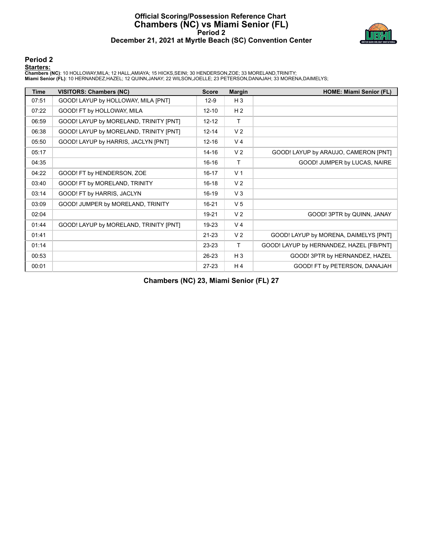## **Official Scoring/Possession Reference Chart Chambers (NC) vs Miami Senior (FL) Period 2 December 21, 2021 at Myrtle Beach (SC) Convention Center**



#### **Period 2**

**Starters:**

Chambers (NC): 10 HOLLOWAY,MILA; 12 HALL,AMIAYA; 15 HICKS,SEINI; 30 HENDERSON,ZOE; 33 MORELAND,TRINITY;<br>Miami Senior (FL): 10 HERNANDEZ,HAZEL; 12 QUINN,JANAY; 22 WILSON,JOELLE; 23 PETERSON,DANAJAH; 33 MORENA,DAIMELYS;

| <b>Time</b> | <b>VISITORS: Chambers (NC)</b>         | <b>Score</b> | <b>Margin</b>  | <b>HOME: Miami Senior (FL)</b>           |
|-------------|----------------------------------------|--------------|----------------|------------------------------------------|
| 07:51       | GOOD! LAYUP by HOLLOWAY, MILA [PNT]    | $12-9$       | H <sub>3</sub> |                                          |
| 07:22       | GOOD! FT by HOLLOWAY, MILA             | $12 - 10$    | H <sub>2</sub> |                                          |
| 06:59       | GOOD! LAYUP by MORELAND, TRINITY [PNT] | $12 - 12$    | $\mathsf{T}$   |                                          |
| 06:38       | GOOD! LAYUP by MORELAND, TRINITY [PNT] | $12 - 14$    | V <sub>2</sub> |                                          |
| 05:50       | GOOD! LAYUP by HARRIS, JACLYN [PNT]    | $12 - 16$    | V <sub>4</sub> |                                          |
| 05:17       |                                        | $14 - 16$    | V <sub>2</sub> | GOOD! LAYUP by ARAUJO, CAMERON [PNT]     |
| 04:35       |                                        | $16 - 16$    | T              | GOOD! JUMPER by LUCAS, NAIRE             |
| 04:22       | GOOD! FT by HENDERSON, ZOE             | $16 - 17$    | V <sub>1</sub> |                                          |
| 03:40       | GOOD! FT by MORELAND, TRINITY          | $16 - 18$    | V <sub>2</sub> |                                          |
| 03:14       | GOOD! FT by HARRIS, JACLYN             | $16-19$      | V <sub>3</sub> |                                          |
| 03:09       | GOOD! JUMPER by MORELAND, TRINITY      | $16 - 21$    | V <sub>5</sub> |                                          |
| 02:04       |                                        | 19-21        | V <sub>2</sub> | GOOD! 3PTR by QUINN, JANAY               |
| 01:44       | GOOD! LAYUP by MORELAND, TRINITY [PNT] | 19-23        | V <sub>4</sub> |                                          |
| 01:41       |                                        | $21 - 23$    | V <sub>2</sub> | GOOD! LAYUP by MORENA, DAIMELYS [PNT]    |
| 01:14       |                                        | 23-23        | T.             | GOOD! LAYUP by HERNANDEZ, HAZEL [FB/PNT] |
| 00:53       |                                        | 26-23        | $H_3$          | GOOD! 3PTR by HERNANDEZ, HAZEL           |
| 00:01       |                                        | $27-23$      | H4             | GOOD! FT by PETERSON, DANAJAH            |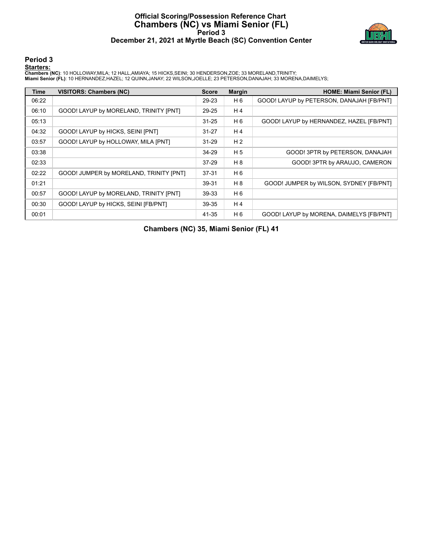## **Official Scoring/Possession Reference Chart Chambers (NC) vs Miami Senior (FL) Period 3 December 21, 2021 at Myrtle Beach (SC) Convention Center**



#### **Period 3**

#### **Starters:**

Chambers (NC): 10 HOLLOWAY,MILA; 12 HALL,AMIAYA; 15 HICKS,SEINI; 30 HENDERSON,ZOE; 33 MORELAND,TRINITY;<br>Miami Senior (FL): 10 HERNANDEZ,HAZEL; 12 QUINN,JANAY; 22 WILSON,JOELLE; 23 PETERSON,DANAJAH; 33 MORENA,DAIMELYS;

| <b>Time</b> | <b>VISITORS: Chambers (NC)</b>          | <b>Score</b> | <b>Margin</b>  | <b>HOME: Miami Senior (FL)</b>            |
|-------------|-----------------------------------------|--------------|----------------|-------------------------------------------|
| 06:22       |                                         | 29-23        | H 6            | GOOD! LAYUP by PETERSON, DANAJAH [FB/PNT] |
| 06:10       | GOOD! LAYUP by MORELAND, TRINITY [PNT]  | 29-25        | H <sub>4</sub> |                                           |
| 05:13       |                                         | $31 - 25$    | H <sub>6</sub> | GOOD! LAYUP by HERNANDEZ, HAZEL [FB/PNT]  |
| 04:32       | GOOD! LAYUP by HICKS, SEINI [PNT]       | $31 - 27$    | H <sub>4</sub> |                                           |
| 03:57       | GOOD! LAYUP by HOLLOWAY, MILA [PNT]     | $31 - 29$    | H <sub>2</sub> |                                           |
| 03:38       |                                         | 34-29        | H <sub>5</sub> | GOOD! 3PTR by PETERSON, DANAJAH           |
| 02:33       |                                         | 37-29        | H 8            | GOOD! 3PTR by ARAUJO, CAMERON             |
| 02:22       | GOOD! JUMPER by MORELAND, TRINITY [PNT] | $37 - 31$    | H <sub>6</sub> |                                           |
| 01:21       |                                         | 39-31        | H 8            | GOOD! JUMPER by WILSON, SYDNEY [FB/PNT]   |
| 00:57       | GOOD! LAYUP by MORELAND, TRINITY [PNT]  | 39-33        | H <sub>6</sub> |                                           |
| 00:30       | GOOD! LAYUP by HICKS, SEINI [FB/PNT]    | 39-35        | H <sub>4</sub> |                                           |
| 00:01       |                                         | 41-35        | H <sub>6</sub> | GOOD! LAYUP by MORENA, DAIMELYS [FB/PNT]  |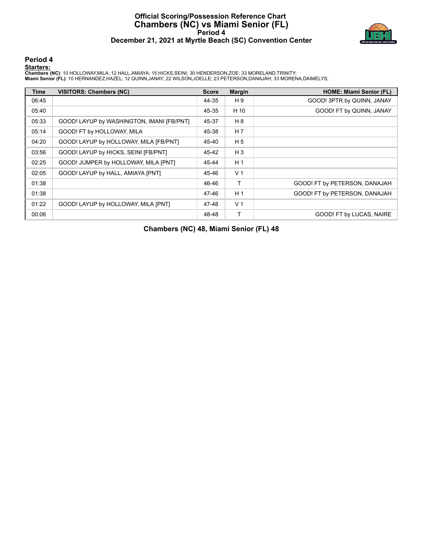## **Official Scoring/Possession Reference Chart Chambers (NC) vs Miami Senior (FL) Period 4 December 21, 2021 at Myrtle Beach (SC) Convention Center**



#### **Period 4**

#### **Starters:**

Chambers (NC): 10 HOLLOWAY,MILA; 12 HALL,AMIAYA; 15 HICKS,SEINI; 30 HENDERSON,ZOE; 33 MORELAND,TRINITY;<br>Miami Senior (FL): 10 HERNANDEZ,HAZEL; 12 QUINN,JANAY; 22 WILSON,JOELLE; 23 PETERSON,DANAJAH; 33 MORENA,DAIMELYS;

| Time  | <b>VISITORS: Chambers (NC)</b>            | <b>Score</b> | <b>Margin</b>  | <b>HOME: Miami Senior (FL)</b> |
|-------|-------------------------------------------|--------------|----------------|--------------------------------|
| 06:45 |                                           | 44-35        | H 9            | GOOD! 3PTR by QUINN, JANAY     |
| 05:40 |                                           | 45-35        | H 10           | GOOD! FT by QUINN, JANAY       |
| 05:33 | GOOD! LAYUP by WASHINGTON, IMANI [FB/PNT] | 45-37        | H 8            |                                |
| 05:14 | GOOD! FT by HOLLOWAY, MILA                | 45-38        | H <sub>7</sub> |                                |
| 04:20 | GOOD! LAYUP by HOLLOWAY, MILA [FB/PNT]    | 45-40        | H <sub>5</sub> |                                |
| 03:56 | GOOD! LAYUP by HICKS, SEINI [FB/PNT]      | 45-42        | $H_3$          |                                |
| 02:25 | GOOD! JUMPER by HOLLOWAY, MILA [PNT]      | 45-44        | H <sub>1</sub> |                                |
| 02:05 | GOOD! LAYUP by HALL, AMIAYA [PNT]         | 45-46        | V <sub>1</sub> |                                |
| 01:38 |                                           | 46-46        | T.             | GOOD! FT by PETERSON, DANAJAH  |
| 01:38 |                                           | 47-46        | H <sub>1</sub> | GOOD! FT by PETERSON, DANAJAH  |
| 01:22 | GOOD! LAYUP by HOLLOWAY, MILA [PNT]       | 47-48        | V <sub>1</sub> |                                |
| 00:06 |                                           | 48-48        | т              | GOOD! FT by LUCAS, NAIRE       |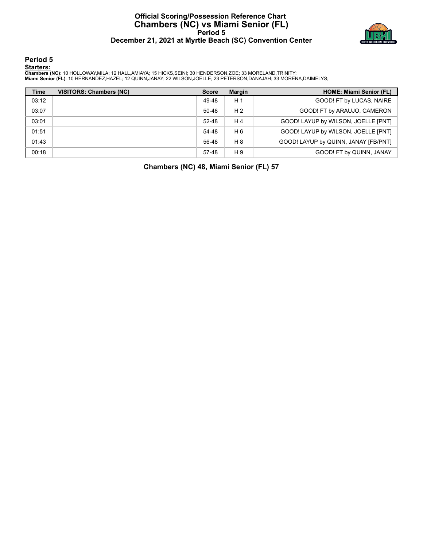## **Official Scoring/Possession Reference Chart Chambers (NC) vs Miami Senior (FL) Period 5 December 21, 2021 at Myrtle Beach (SC) Convention Center**



**Period 5**

#### **Starters:**

Chambers (NC): 10 HOLLOWAY,MILA; 12 HALL,AMIAYA; 15 HICKS,SEINI; 30 HENDERSON,ZOE; 33 MORELAND,TRINITY;<br>Miami Senior (FL): 10 HERNANDEZ,HAZEL; 12 QUINN,JANAY; 22 WILSON,JOELLE; 23 PETERSON,DANAJAH; 33 MORENA,DAIMELYS;

| <b>Time</b> | <b>VISITORS: Chambers (NC)</b> | <b>Score</b> | <b>Margin</b>  | <b>HOME: Miami Senior (FL)</b>       |
|-------------|--------------------------------|--------------|----------------|--------------------------------------|
| 03:12       |                                | 49-48        | H <sub>1</sub> | GOOD! FT by LUCAS, NAIRE             |
| 03:07       |                                | 50-48        | H <sub>2</sub> | GOOD! FT by ARAUJO, CAMERON          |
| 03:01       |                                | $52-48$      | H 4            | GOOD! LAYUP by WILSON, JOELLE [PNT]  |
| 01:51       |                                | 54-48        | H <sub>6</sub> | GOOD! LAYUP by WILSON, JOELLE [PNT]  |
| 01:43       |                                | 56-48        | H 8            | GOOD! LAYUP by QUINN, JANAY [FB/PNT] |
| 00:18       |                                | 57-48        | H 9            | GOOD! FT by QUINN, JANAY             |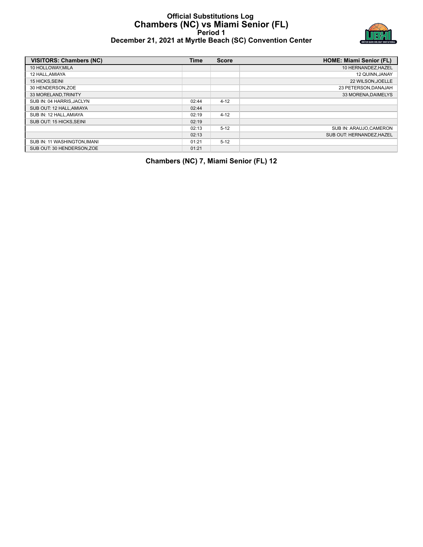#### **Official Substitutions Log Chambers (NC) vs Miami Senior (FL) Period 1 December 21, 2021 at Myrtle Beach (SC) Convention Center**



| December 21, 2021 at Myrtle Beach (SC) Convention Center |  |
|----------------------------------------------------------|--|
|----------------------------------------------------------|--|

| VISITORS: Chambers (NC)      | <b>Time</b> | <b>Score</b> | <b>HOME: Miami Senior (FL)</b> |
|------------------------------|-------------|--------------|--------------------------------|
| 10 HOLLOWAY, MILA            |             |              | 10 HERNANDEZ, HAZEL            |
| 12 HALL.AMIAYA               |             |              | 12 QUINN.JANAY                 |
| <b>15 HICKS.SEINI</b>        |             |              | 22 WILSON.JOELLE               |
| 30 HENDERSON.ZOE             |             |              | 23 PETERSON.DANAJAH            |
| 33 MORELAND, TRINITY         |             |              | 33 MORENA DAIMELYS             |
| SUB IN: 04 HARRIS.JACLYN     | 02:44       | $4 - 12$     |                                |
| SUB OUT: 12 HALL, AMIAYA     | 02:44       |              |                                |
| SUB IN: 12 HALL, AMIAYA      | 02:19       | $4 - 12$     |                                |
| SUB OUT: 15 HICKS.SEINI      | 02:19       |              |                                |
|                              | 02:13       | $5 - 12$     | SUB IN: ARAUJO.CAMERON         |
|                              | 02:13       |              | SUB OUT: HERNANDEZ, HAZEL      |
| SUB IN: 11 WASHINGTON, IMANI | 01:21       | $5 - 12$     |                                |
| SUB OUT: 30 HENDERSON.ZOE    | 01:21       |              |                                |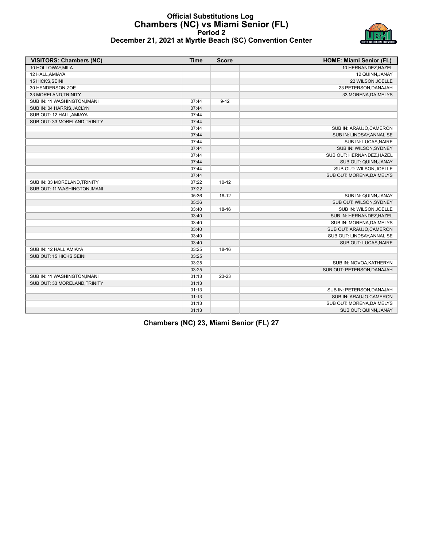

## **Official Substitutions Log Chambers (NC) vs Miami Senior (FL) Period 2 December 21, 2021 at Myrtle Beach (SC) Convention Center**

| <b>VISITORS: Chambers (NC)</b> | <b>Time</b> | <b>Score</b> | <b>HOME: Miami Senior (FL)</b> |
|--------------------------------|-------------|--------------|--------------------------------|
| 10 HOLLOWAY.MILA               |             |              | 10 HERNANDEZ.HAZEL             |
| 12 HALL, AMIAYA                |             |              | 12 QUINN, JANAY                |
| 15 HICKS, SEINI                |             |              | 22 WILSON, JOELLE              |
| 30 HENDERSON, ZOE              |             |              | 23 PETERSON, DANAJAH           |
| 33 MORELAND, TRINITY           |             |              | 33 MORENA, DAIMELYS            |
| SUB IN: 11 WASHINGTON, IMANI   | 07:44       | $9 - 12$     |                                |
| SUB IN: 04 HARRIS, JACLYN      | 07:44       |              |                                |
| SUB OUT: 12 HALL, AMIAYA       | 07:44       |              |                                |
| SUB OUT: 33 MORELAND, TRINITY  | 07:44       |              |                                |
|                                | 07:44       |              | SUB IN: ARAUJO, CAMERON        |
|                                | 07:44       |              | SUB IN: LINDSAY, ANNALISE      |
|                                | 07:44       |              | SUB IN: LUCAS, NAIRE           |
|                                | 07:44       |              | SUB IN: WILSON, SYDNEY         |
|                                | 07:44       |              | SUB OUT: HERNANDEZ, HAZEL      |
|                                | 07:44       |              | SUB OUT: QUINN, JANAY          |
|                                | 07:44       |              | SUB OUT: WILSON, JOELLE        |
|                                | 07:44       |              | SUB OUT: MORENA, DAIMELYS      |
| SUB IN: 33 MORELAND, TRINITY   | 07:22       | $10 - 12$    |                                |
| SUB OUT: 11 WASHINGTON, IMANI  | 07:22       |              |                                |
|                                | 05:36       | $16 - 12$    | SUB IN: QUINN, JANAY           |
|                                | 05:36       |              | SUB OUT: WILSON, SYDNEY        |
|                                | 03:40       | $18 - 16$    | SUB IN: WILSON, JOELLE         |
|                                | 03:40       |              | SUB IN: HERNANDEZ, HAZEL       |
|                                | 03:40       |              | SUB IN: MORENA, DAIMELYS       |
|                                | 03:40       |              | SUB OUT: ARAUJO, CAMERON       |
|                                | 03:40       |              | SUB OUT: LINDSAY, ANNALISE     |
|                                | 03:40       |              | SUB OUT: LUCAS, NAIRE          |
| SUB IN: 12 HALL, AMIAYA        | 03:25       | 18-16        |                                |
| SUB OUT: 15 HICKS, SEINI       | 03:25       |              |                                |
|                                | 03:25       |              | SUB IN: NOVOA, KATHERYN        |
|                                | 03:25       |              | SUB OUT: PETERSON, DANAJAH     |
| SUB IN: 11 WASHINGTON, IMANI   | 01:13       | 23-23        |                                |
| SUB OUT: 33 MORELAND, TRINITY  | 01:13       |              |                                |
|                                | 01:13       |              | SUB IN: PETERSON, DANAJAH      |
|                                | 01:13       |              | SUB IN: ARAUJO, CAMERON        |
|                                | 01:13       |              | SUB OUT: MORENA, DAIMELYS      |
|                                | 01:13       |              | SUB OUT: QUINN, JANAY          |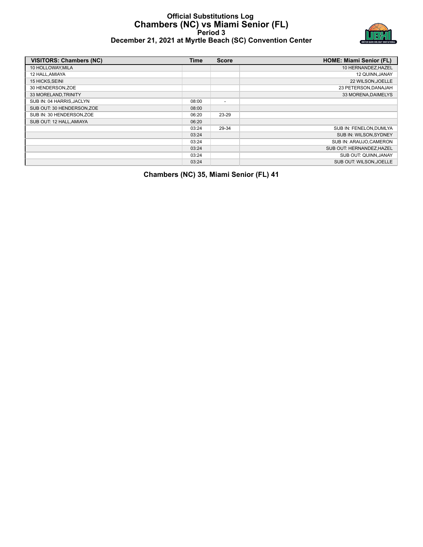## **Official Substitutions Log Chambers (NC) vs Miami Senior (FL) Period 3 December 21, 2021 at Myrtle Beach (SC) Convention Center**



| <b>VISITORS: Chambers (NC)</b> | <b>Time</b> | <b>Score</b>             | <b>HOME: Miami Senior (FL)</b> |
|--------------------------------|-------------|--------------------------|--------------------------------|
| 10 HOLLOWAY, MILA              |             |                          | 10 HERNANDEZ, HAZEL            |
| 12 HALL, AMIAYA                |             |                          | 12 QUINN, JANAY                |
| 15 HICKS, SEINI                |             |                          | 22 WILSON, JOELLE              |
| 30 HENDERSON, ZOE              |             |                          | 23 PETERSON, DANAJAH           |
| 33 MORELAND, TRINITY           |             |                          | 33 MORENA, DAIMELYS            |
| SUB IN: 04 HARRIS, JACLYN      | 08:00       | $\overline{\phantom{a}}$ |                                |
| SUB OUT: 30 HENDERSON, ZOE     | 08:00       |                          |                                |
| SUB IN: 30 HENDERSON, ZOE      | 06:20       | 23-29                    |                                |
| SUB OUT: 12 HALL, AMIAYA       | 06:20       |                          |                                |
|                                | 03:24       | 29-34                    | SUB IN: FENELON, DUMLYA        |
|                                | 03:24       |                          | SUB IN: WILSON, SYDNEY         |
|                                | 03:24       |                          | SUB IN: ARAUJO, CAMERON        |
|                                | 03:24       |                          | SUB OUT: HERNANDEZ, HAZEL      |
|                                | 03:24       |                          | SUB OUT: QUINN, JANAY          |
|                                | 03:24       |                          | SUB OUT: WILSON.JOELLE         |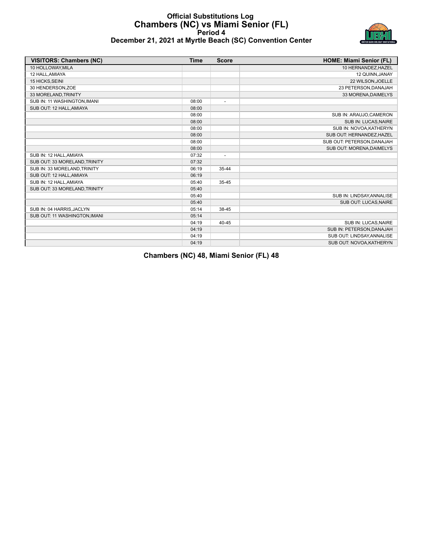## **Official Substitutions Log Chambers (NC) vs Miami Senior (FL) Period 4 December 21, 2021 at Myrtle Beach (SC) Convention Center**



| <b>VISITORS: Chambers (NC)</b> | <b>Time</b> | <b>Score</b>             | <b>HOME: Miami Senior (FL)</b> |
|--------------------------------|-------------|--------------------------|--------------------------------|
| 10 HOLLOWAY.MILA               |             |                          | 10 HERNANDEZ, HAZEL            |
| 12 HALL, AMIAYA                |             |                          | 12 QUINN, JANAY                |
| 15 HICKS, SEINI                |             |                          | 22 WILSON, JOELLE              |
| 30 HENDERSON, ZOE              |             |                          | 23 PETERSON, DANAJAH           |
| 33 MORELAND, TRINITY           |             |                          | 33 MORENA, DAIMELYS            |
| SUB IN: 11 WASHINGTON, IMANI   | 08:00       | $\overline{\phantom{a}}$ |                                |
| SUB OUT: 12 HALL, AMIAYA       | 08:00       |                          |                                |
|                                | 08:00       |                          | SUB IN: ARAUJO, CAMERON        |
|                                | 08:00       |                          | SUB IN: LUCAS, NAIRE           |
|                                | 08:00       |                          | SUB IN: NOVOA, KATHERYN        |
|                                | 08:00       |                          | SUB OUT: HERNANDEZ, HAZEL      |
|                                | 08:00       |                          | SUB OUT: PETERSON, DANAJAH     |
|                                | 08:00       |                          | SUB OUT: MORENA, DAIMELYS      |
| SUB IN: 12 HALL, AMIAYA        | 07:32       |                          |                                |
| SUB OUT: 33 MORELAND, TRINITY  | 07:32       |                          |                                |
| SUB IN: 33 MORELAND, TRINITY   | 06:19       | 35-44                    |                                |
| SUB OUT: 12 HALL, AMIAYA       | 06:19       |                          |                                |
| SUB IN: 12 HALL, AMIAYA        | 05:40       | 35-45                    |                                |
| SUB OUT: 33 MORELAND. TRINITY  | 05:40       |                          |                                |
|                                | 05:40       |                          | SUB IN: LINDSAY, ANNALISE      |
|                                | 05:40       |                          | SUB OUT: LUCAS, NAIRE          |
| SUB IN: 04 HARRIS, JACLYN      | 05:14       | 38-45                    |                                |
| SUB OUT: 11 WASHINGTON, IMANI  | 05:14       |                          |                                |
|                                | 04:19       | 40-45                    | SUB IN: LUCAS, NAIRE           |
|                                | 04:19       |                          | SUB IN: PETERSON, DANAJAH      |
|                                | 04:19       |                          | SUB OUT: LINDSAY, ANNALISE     |
|                                | 04:19       |                          | SUB OUT: NOVOA, KATHERYN       |